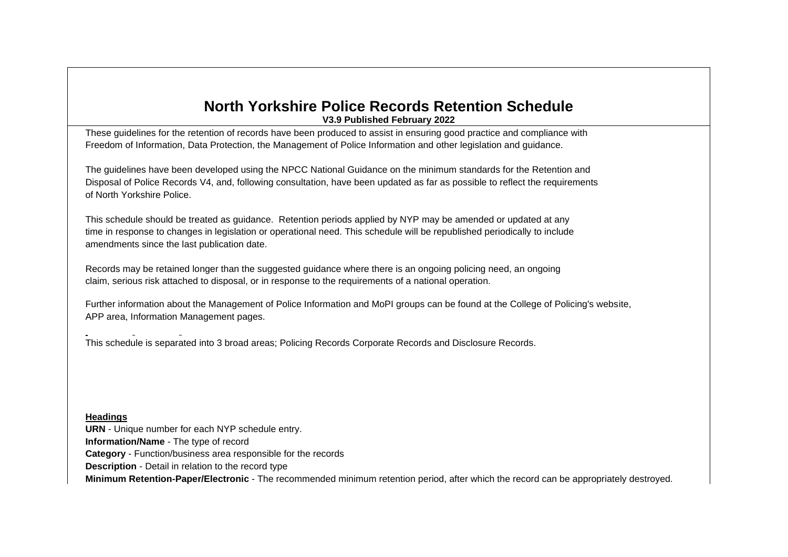### **North Yorkshire Police Records Retention Schedule V3.9 Published February 2022**

These guidelines for the retention of records have been produced to assist in ensuring good practice and compliance with Freedom of Information, Data Protection, the Management of Police Information and other legislation and guidance.

The guidelines have been developed using the NPCC National Guidance on the minimum standards for the Retention and Disposal of Police Records V4, and, following consultation, have been updated as far as possible to reflect the requirements of North Yorkshire Police.

This schedule should be treated as guidance. Retention periods applied by NYP may be amended or updated at any time in response to changes in legislation or operational need. This schedule will be republished periodically to include amendments since the last publication date.

Records may be retained longer than the suggested guidance where there is an ongoing policing need, an ongoing claim, serious risk attached to disposal, or in response to the requirements of a national operation.

Further information about the Management of Police Information and MoPI groups can be found at the College of Policing's website, APP area, Information Management pages.

This schedule is separated into 3 broad areas; Policing Records Corporate Records and Disclosure Records.

#### **Headings**

**URN** - Unique number for each NYP schedule entry. **Information/Name** - The type of record **Category** - Function/business area responsible for the records **Description** - Detail in relation to the record type **Minimum Retention-Paper/Electronic** - The recommended minimum retention period, after which the record can be appropriately destroyed.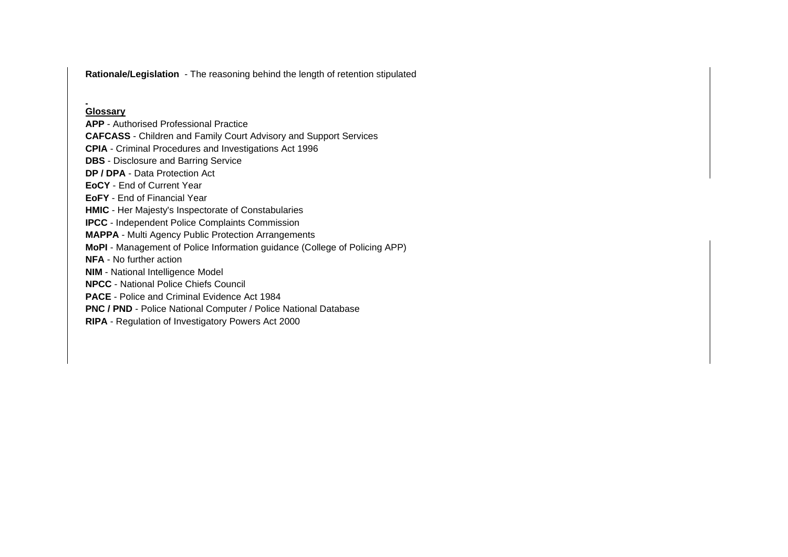**Rationale/Legislation** - The reasoning behind the length of retention stipulated

### **Glossary**

**APP** - Authorised Professional Practice

**CAFCASS** - Children and Family Court Advisory and Support Services

**CPIA** - Criminal Procedures and Investigations Act 1996

**DBS** - Disclosure and Barring Service

**DP / DPA** - Data Protection Act

**EoCY** - End of Current Year

**EoFY** - End of Financial Year

**HMIC** - Her Majesty's Inspectorate of Constabularies

**IPCC** - Independent Police Complaints Commission

**MAPPA** - Multi Agency Public Protection Arrangements

**MoPI** - Management of Police Information guidance (College of Policing APP)

**NFA** - No further action

**NIM** - National Intelligence Model

**NPCC** - National Police Chiefs Council

**PACE** - Police and Criminal Evidence Act 1984

**PNC / PND** - Police National Computer / Police National Database

**RIPA** - Regulation of Investigatory Powers Act 2000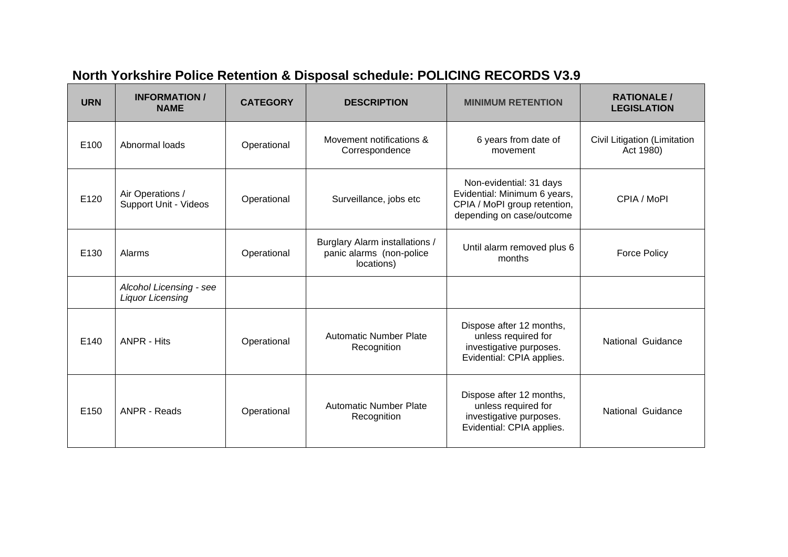| <b>URN</b> | <b>INFORMATION /</b><br><b>NAME</b>                | <b>CATEGORY</b> | <b>DESCRIPTION</b>                                                       | <b>MINIMUM RETENTION</b>                                                                                             | <b>RATIONALE/</b><br><b>LEGISLATION</b>   |
|------------|----------------------------------------------------|-----------------|--------------------------------------------------------------------------|----------------------------------------------------------------------------------------------------------------------|-------------------------------------------|
| E100       | Abnormal loads                                     | Operational     | Movement notifications &<br>Correspondence                               | 6 years from date of<br>movement                                                                                     | Civil Litigation (Limitation<br>Act 1980) |
| E120       | Air Operations /<br>Support Unit - Videos          | Operational     | Surveillance, jobs etc                                                   | Non-evidential: 31 days<br>Evidential: Minimum 6 years,<br>CPIA / MoPI group retention,<br>depending on case/outcome | CPIA / MoPI                               |
| E130       | Alarms                                             | Operational     | Burglary Alarm installations /<br>panic alarms (non-police<br>locations) | Until alarm removed plus 6<br>months                                                                                 | <b>Force Policy</b>                       |
|            | Alcohol Licensing - see<br><b>Liquor Licensing</b> |                 |                                                                          |                                                                                                                      |                                           |
| E140       | <b>ANPR - Hits</b>                                 | Operational     | <b>Automatic Number Plate</b><br>Recognition                             | Dispose after 12 months,<br>unless required for<br>investigative purposes.<br>Evidential: CPIA applies.              | National Guidance                         |
| E150       | <b>ANPR - Reads</b>                                | Operational     | <b>Automatic Number Plate</b><br>Recognition                             | Dispose after 12 months,<br>unless required for<br>investigative purposes.<br>Evidential: CPIA applies.              | National Guidance                         |

# **North Yorkshire Police Retention & Disposal schedule: POLICING RECORDS V3.9**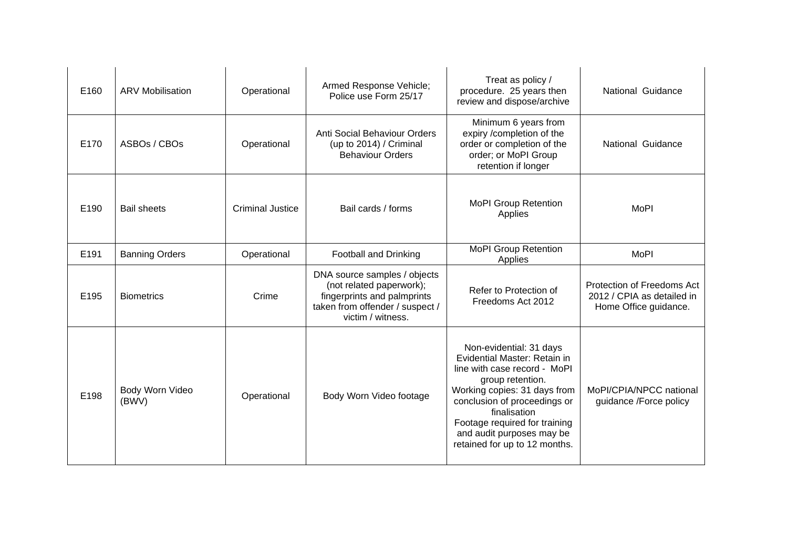| E160 | <b>ARV Mobilisation</b>  | Operational             | Armed Response Vehicle;<br>Police use Form 25/17                                                                                                | Treat as policy /<br>procedure. 25 years then<br>review and dispose/archive                                                                                                                                                                                                                | National Guidance                                                                 |
|------|--------------------------|-------------------------|-------------------------------------------------------------------------------------------------------------------------------------------------|--------------------------------------------------------------------------------------------------------------------------------------------------------------------------------------------------------------------------------------------------------------------------------------------|-----------------------------------------------------------------------------------|
| E170 | ASBOs / CBOs             | Operational             | Anti Social Behaviour Orders<br>(up to 2014) / Criminal<br><b>Behaviour Orders</b>                                                              | Minimum 6 years from<br>expiry /completion of the<br>order or completion of the<br>order; or MoPI Group<br>retention if longer                                                                                                                                                             | National Guidance                                                                 |
| E190 | <b>Bail sheets</b>       | <b>Criminal Justice</b> | Bail cards / forms                                                                                                                              | <b>MoPI Group Retention</b><br>Applies                                                                                                                                                                                                                                                     | MoPI                                                                              |
| E191 | <b>Banning Orders</b>    | Operational             | Football and Drinking                                                                                                                           | <b>MoPI Group Retention</b><br>Applies                                                                                                                                                                                                                                                     | <b>MoPI</b>                                                                       |
| E195 | <b>Biometrics</b>        | Crime                   | DNA source samples / objects<br>(not related paperwork);<br>fingerprints and palmprints<br>taken from offender / suspect /<br>victim / witness. | Refer to Protection of<br>Freedoms Act 2012                                                                                                                                                                                                                                                | Protection of Freedoms Act<br>2012 / CPIA as detailed in<br>Home Office guidance. |
| E198 | Body Worn Video<br>(BWV) | Operational             | Body Worn Video footage                                                                                                                         | Non-evidential: 31 days<br>Evidential Master: Retain in<br>line with case record - MoPI<br>group retention.<br>Working copies: 31 days from<br>conclusion of proceedings or<br>finalisation<br>Footage required for training<br>and audit purposes may be<br>retained for up to 12 months. | MoPI/CPIA/NPCC national<br>guidance /Force policy                                 |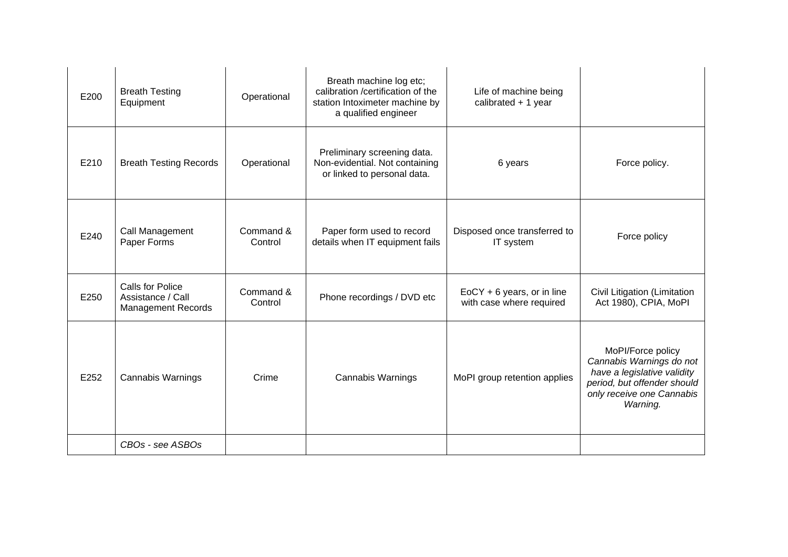| E200 | <b>Breath Testing</b><br>Equipment                                        | Operational          | Breath machine log etc;<br>calibration /certification of the<br>station Intoximeter machine by<br>a qualified engineer | Life of machine being<br>calibrated $+1$ year            |                                                                                                                                                      |
|------|---------------------------------------------------------------------------|----------------------|------------------------------------------------------------------------------------------------------------------------|----------------------------------------------------------|------------------------------------------------------------------------------------------------------------------------------------------------------|
| E210 | <b>Breath Testing Records</b>                                             | Operational          | Preliminary screening data.<br>Non-evidential. Not containing<br>or linked to personal data.                           | 6 years                                                  | Force policy.                                                                                                                                        |
| E240 | Call Management<br>Paper Forms                                            | Command &<br>Control | Paper form used to record<br>details when IT equipment fails                                                           | Disposed once transferred to<br>IT system                | Force policy                                                                                                                                         |
| E250 | <b>Calls for Police</b><br>Assistance / Call<br><b>Management Records</b> | Command &<br>Control | Phone recordings / DVD etc                                                                                             | $EoCY + 6$ years, or in line<br>with case where required | Civil Litigation (Limitation<br>Act 1980), CPIA, MoPI                                                                                                |
| E252 | <b>Cannabis Warnings</b>                                                  | Crime                | <b>Cannabis Warnings</b>                                                                                               | MoPI group retention applies                             | MoPI/Force policy<br>Cannabis Warnings do not<br>have a legislative validity<br>period, but offender should<br>only receive one Cannabis<br>Warning. |
|      | CBOs - see ASBOs                                                          |                      |                                                                                                                        |                                                          |                                                                                                                                                      |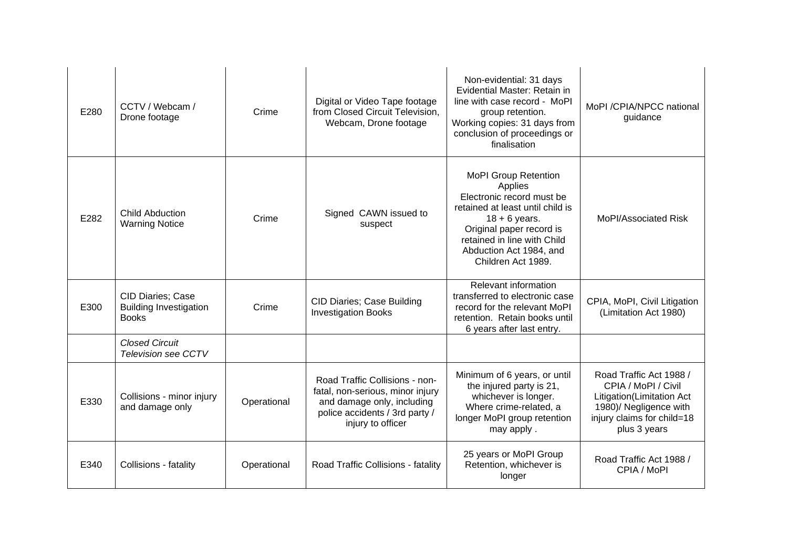| E280 | CCTV / Webcam /<br>Drone footage                                   | Crime       | Digital or Video Tape footage<br>from Closed Circuit Television,<br>Webcam, Drone footage                                                               | Non-evidential: 31 days<br>Evidential Master: Retain in<br>line with case record - MoPI<br>group retention.<br>Working copies: 31 days from<br>conclusion of proceedings or<br>finalisation                                            | MoPI /CPIA/NPCC national<br>guidance                                                                                                                |
|------|--------------------------------------------------------------------|-------------|---------------------------------------------------------------------------------------------------------------------------------------------------------|----------------------------------------------------------------------------------------------------------------------------------------------------------------------------------------------------------------------------------------|-----------------------------------------------------------------------------------------------------------------------------------------------------|
| E282 | <b>Child Abduction</b><br><b>Warning Notice</b>                    | Crime       | Signed CAWN issued to<br>suspect                                                                                                                        | <b>MoPI Group Retention</b><br>Applies<br>Electronic record must be<br>retained at least until child is<br>$18 + 6$ years.<br>Original paper record is<br>retained in line with Child<br>Abduction Act 1984, and<br>Children Act 1989. | MoPI/Associated Risk                                                                                                                                |
| E300 | CID Diaries; Case<br><b>Building Investigation</b><br><b>Books</b> | Crime       | <b>CID Diaries; Case Building</b><br><b>Investigation Books</b>                                                                                         | Relevant information<br>transferred to electronic case<br>record for the relevant MoPI<br>retention. Retain books until<br>6 years after last entry.                                                                                   | CPIA, MoPI, Civil Litigation<br>(Limitation Act 1980)                                                                                               |
|      | <b>Closed Circuit</b><br><b>Television see CCTV</b>                |             |                                                                                                                                                         |                                                                                                                                                                                                                                        |                                                                                                                                                     |
| E330 | Collisions - minor injury<br>and damage only                       | Operational | Road Traffic Collisions - non-<br>fatal, non-serious, minor injury<br>and damage only, including<br>police accidents / 3rd party /<br>injury to officer | Minimum of 6 years, or until<br>the injured party is 21,<br>whichever is longer.<br>Where crime-related, a<br>longer MoPI group retention<br>may apply.                                                                                | Road Traffic Act 1988 /<br>CPIA / MoPI / Civil<br>Litigation(Limitation Act<br>1980)/ Negligence with<br>injury claims for child=18<br>plus 3 years |
| E340 | Collisions - fatality                                              | Operational | Road Traffic Collisions - fatality                                                                                                                      | 25 years or MoPI Group<br>Retention, whichever is<br>longer                                                                                                                                                                            | Road Traffic Act 1988 /<br>CPIA / MoPI                                                                                                              |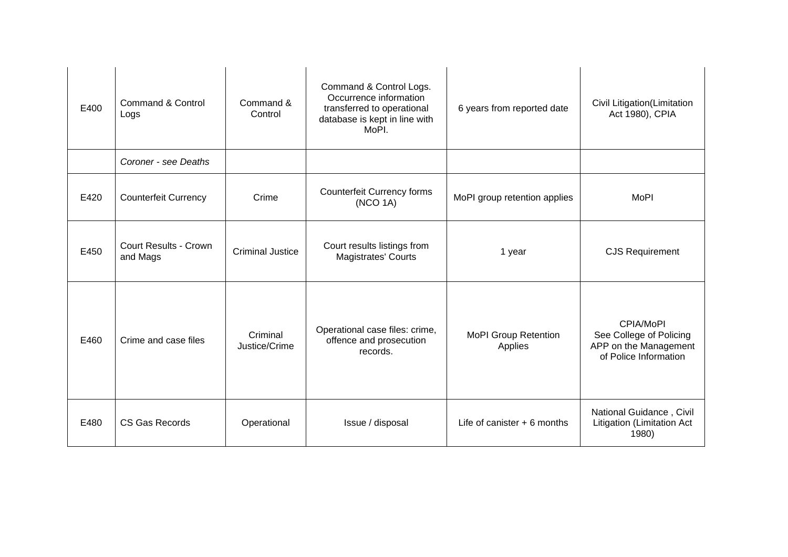| E400 | <b>Command &amp; Control</b><br>Logs     | Command &<br>Control      | Command & Control Logs.<br>Occurrence information<br>transferred to operational<br>database is kept in line with<br>MoPI. | 6 years from reported date             | Civil Litigation(Limitation<br>Act 1980), CPIA                                         |
|------|------------------------------------------|---------------------------|---------------------------------------------------------------------------------------------------------------------------|----------------------------------------|----------------------------------------------------------------------------------------|
|      | Coroner - see Deaths                     |                           |                                                                                                                           |                                        |                                                                                        |
| E420 | <b>Counterfeit Currency</b>              | Crime                     | <b>Counterfeit Currency forms</b><br>(NCO 1A)                                                                             | MoPI group retention applies           | <b>MoPI</b>                                                                            |
| E450 | <b>Court Results - Crown</b><br>and Mags | <b>Criminal Justice</b>   | Court results listings from<br><b>Magistrates' Courts</b>                                                                 | 1 year                                 | <b>CJS Requirement</b>                                                                 |
| E460 | Crime and case files                     | Criminal<br>Justice/Crime | Operational case files: crime,<br>offence and prosecution<br>records.                                                     | <b>MoPI Group Retention</b><br>Applies | CPIA/MoPI<br>See College of Policing<br>APP on the Management<br>of Police Information |
| E480 | CS Gas Records                           | Operational               | Issue / disposal                                                                                                          | Life of canister $+6$ months           | National Guidance, Civil<br>Litigation (Limitation Act<br>1980)                        |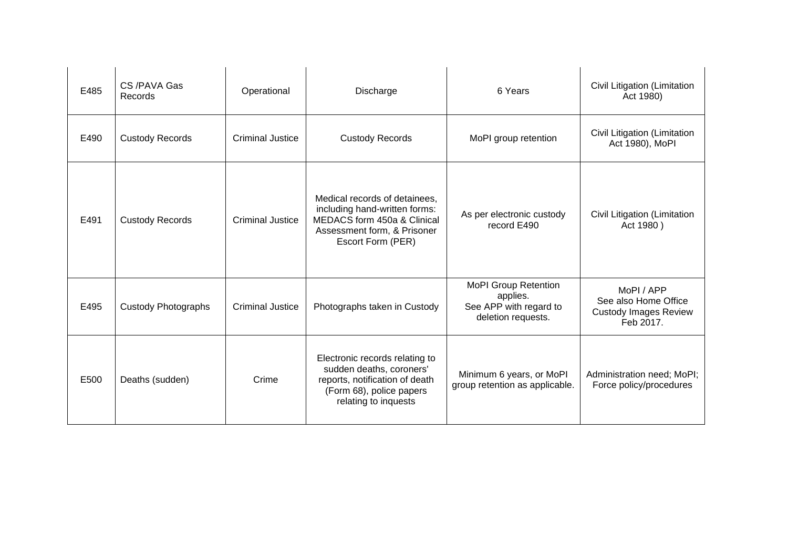| E485 | CS/PAVA Gas<br>Records     | Operational             | Discharge                                                                                                                                         | 6 Years                                                                                 | Civil Litigation (Limitation<br>Act 1980)                                       |
|------|----------------------------|-------------------------|---------------------------------------------------------------------------------------------------------------------------------------------------|-----------------------------------------------------------------------------------------|---------------------------------------------------------------------------------|
| E490 | <b>Custody Records</b>     | <b>Criminal Justice</b> | <b>Custody Records</b>                                                                                                                            | MoPI group retention                                                                    | Civil Litigation (Limitation<br>Act 1980), MoPl                                 |
| E491 | <b>Custody Records</b>     | <b>Criminal Justice</b> | Medical records of detainees,<br>including hand-written forms:<br>MEDACS form 450a & Clinical<br>Assessment form, & Prisoner<br>Escort Form (PER) | As per electronic custody<br>record E490                                                | Civil Litigation (Limitation<br>Act 1980)                                       |
| E495 | <b>Custody Photographs</b> | <b>Criminal Justice</b> | Photographs taken in Custody                                                                                                                      | <b>MoPI Group Retention</b><br>applies.<br>See APP with regard to<br>deletion requests. | MoPI / APP<br>See also Home Office<br><b>Custody Images Review</b><br>Feb 2017. |
| E500 | Deaths (sudden)            | Crime                   | Electronic records relating to<br>sudden deaths, coroners'<br>reports, notification of death<br>(Form 68), police papers<br>relating to inquests  | Minimum 6 years, or MoPI<br>group retention as applicable.                              | Administration need; MoPI;<br>Force policy/procedures                           |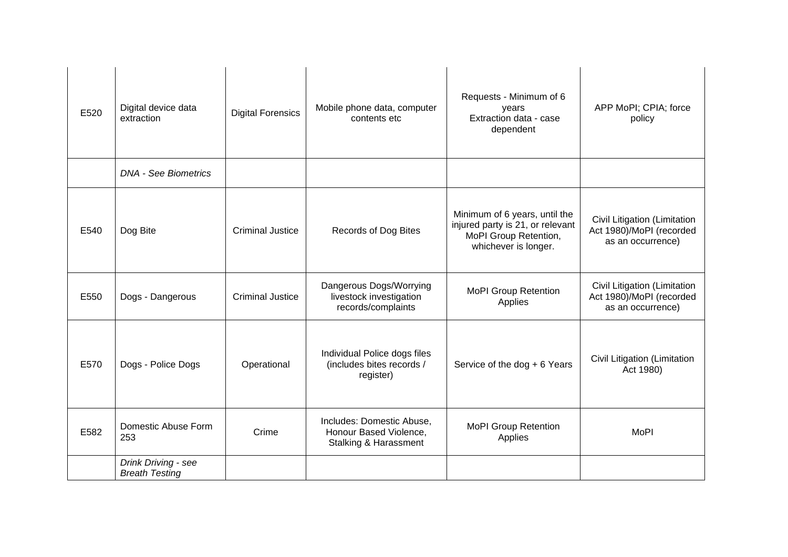| E520 | Digital device data<br>extraction            | <b>Digital Forensics</b> | Mobile phone data, computer<br>contents etc                                             | Requests - Minimum of 6<br>years<br>Extraction data - case<br>dependent                                            | APP MoPI; CPIA; force<br>policy                                               |
|------|----------------------------------------------|--------------------------|-----------------------------------------------------------------------------------------|--------------------------------------------------------------------------------------------------------------------|-------------------------------------------------------------------------------|
|      | <b>DNA - See Biometrics</b>                  |                          |                                                                                         |                                                                                                                    |                                                                               |
| E540 | Dog Bite                                     | <b>Criminal Justice</b>  | Records of Dog Bites                                                                    | Minimum of 6 years, until the<br>injured party is 21, or relevant<br>MoPI Group Retention,<br>whichever is longer. | Civil Litigation (Limitation<br>Act 1980)/MoPI (recorded<br>as an occurrence) |
| E550 | Dogs - Dangerous                             | <b>Criminal Justice</b>  | Dangerous Dogs/Worrying<br>livestock investigation<br>records/complaints                | <b>MoPI Group Retention</b><br>Applies                                                                             | Civil Litigation (Limitation<br>Act 1980)/MoPI (recorded<br>as an occurrence) |
| E570 | Dogs - Police Dogs                           | Operational              | Individual Police dogs files<br>(includes bites records /<br>register)                  | Service of the dog + 6 Years                                                                                       | Civil Litigation (Limitation<br>Act 1980)                                     |
| E582 | Domestic Abuse Form<br>253                   | Crime                    | Includes: Domestic Abuse,<br>Honour Based Violence,<br><b>Stalking &amp; Harassment</b> | <b>MoPI Group Retention</b><br>Applies                                                                             | <b>MoPI</b>                                                                   |
|      | Drink Driving - see<br><b>Breath Testing</b> |                          |                                                                                         |                                                                                                                    |                                                                               |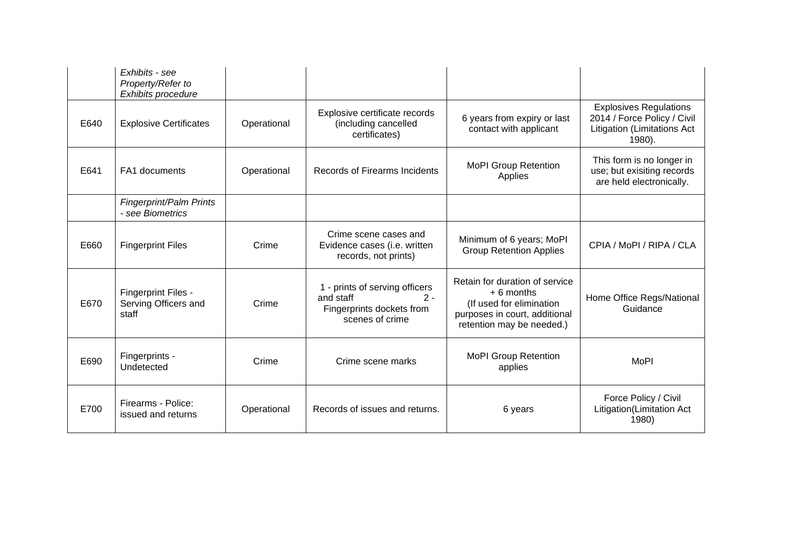|      | Exhibits - see<br>Property/Refer to<br>Exhibits procedure |             |                                                                                                      |                                                                                                                                         |                                                                                                              |
|------|-----------------------------------------------------------|-------------|------------------------------------------------------------------------------------------------------|-----------------------------------------------------------------------------------------------------------------------------------------|--------------------------------------------------------------------------------------------------------------|
| E640 | <b>Explosive Certificates</b>                             | Operational | Explosive certificate records<br>(including cancelled<br>certificates)                               | 6 years from expiry or last<br>contact with applicant                                                                                   | <b>Explosives Regulations</b><br>2014 / Force Policy / Civil<br><b>Litigation (Limitations Act</b><br>1980). |
| E641 | FA1 documents                                             | Operational | <b>Records of Firearms Incidents</b>                                                                 | <b>MoPI Group Retention</b><br>Applies                                                                                                  | This form is no longer in<br>use; but exisiting records<br>are held electronically.                          |
|      | Fingerprint/Palm Prints<br>- see Biometrics               |             |                                                                                                      |                                                                                                                                         |                                                                                                              |
| E660 | <b>Fingerprint Files</b>                                  | Crime       | Crime scene cases and<br>Evidence cases (i.e. written<br>records, not prints)                        | Minimum of 6 years; MoPI<br><b>Group Retention Applies</b>                                                                              | CPIA / MoPI / RIPA / CLA                                                                                     |
| E670 | Fingerprint Files -<br>Serving Officers and<br>staff      | Crime       | 1 - prints of serving officers<br>and staff<br>$2 -$<br>Fingerprints dockets from<br>scenes of crime | Retain for duration of service<br>$+6$ months<br>(If used for elimination<br>purposes in court, additional<br>retention may be needed.) | Home Office Regs/National<br>Guidance                                                                        |
| E690 | Fingerprints -<br>Undetected                              | Crime       | Crime scene marks                                                                                    | <b>MoPI Group Retention</b><br>applies                                                                                                  | <b>MoPI</b>                                                                                                  |
| E700 | Firearms - Police:<br>issued and returns                  | Operational | Records of issues and returns.                                                                       | 6 years                                                                                                                                 | Force Policy / Civil<br>Litigation(Limitation Act<br>1980)                                                   |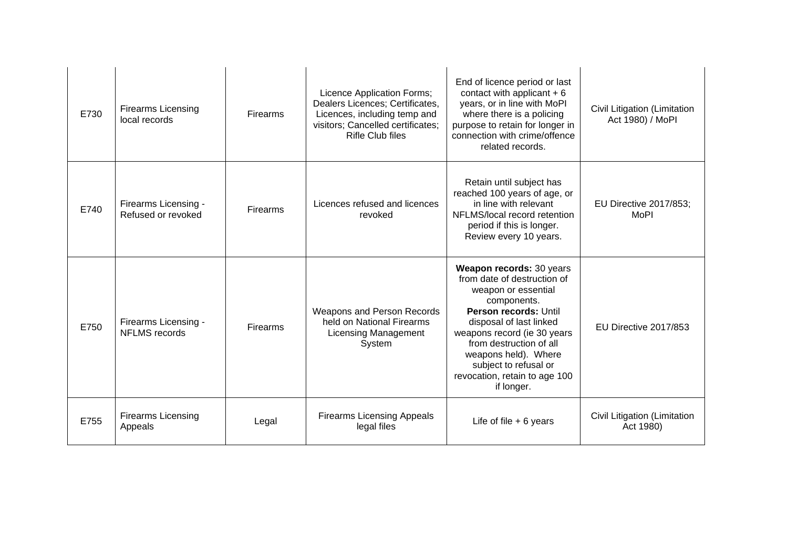| E730 | <b>Firearms Licensing</b><br>local records   | Firearms        | Licence Application Forms;<br>Dealers Licences; Certificates,<br>Licences, including temp and<br>visitors; Cancelled certificates;<br><b>Rifle Club files</b> | End of licence period or last<br>contact with applicant $+6$<br>years, or in line with MoPI<br>where there is a policing<br>purpose to retain for longer in<br>connection with crime/offence<br>related records.                                                                                            | Civil Litigation (Limitation<br>Act 1980) / MoPl |
|------|----------------------------------------------|-----------------|---------------------------------------------------------------------------------------------------------------------------------------------------------------|-------------------------------------------------------------------------------------------------------------------------------------------------------------------------------------------------------------------------------------------------------------------------------------------------------------|--------------------------------------------------|
| E740 | Firearms Licensing -<br>Refused or revoked   | Firearms        | Licences refused and licences<br>revoked                                                                                                                      | Retain until subject has<br>reached 100 years of age, or<br>in line with relevant<br>NFLMS/local record retention<br>period if this is longer.<br>Review every 10 years.                                                                                                                                    | EU Directive 2017/853;<br>MoPI                   |
| E750 | Firearms Licensing -<br><b>NFLMS</b> records | <b>Firearms</b> | Weapons and Person Records<br>held on National Firearms<br><b>Licensing Management</b><br>System                                                              | Weapon records: 30 years<br>from date of destruction of<br>weapon or essential<br>components.<br>Person records: Until<br>disposal of last linked<br>weapons record (ie 30 years<br>from destruction of all<br>weapons held). Where<br>subject to refusal or<br>revocation, retain to age 100<br>if longer. | EU Directive 2017/853                            |
| E755 | <b>Firearms Licensing</b><br>Appeals         | Legal           | <b>Firearms Licensing Appeals</b><br>legal files                                                                                                              | Life of file $+6$ years                                                                                                                                                                                                                                                                                     | Civil Litigation (Limitation<br>Act 1980)        |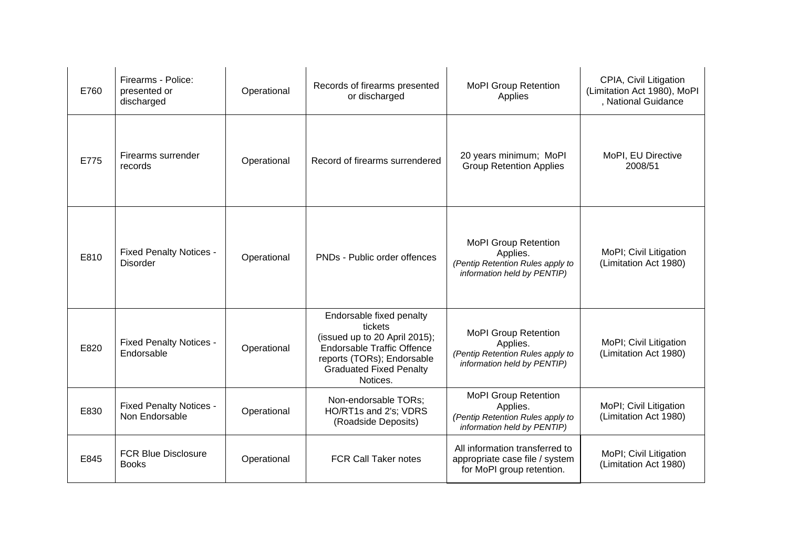| E760 | Firearms - Police:<br>presented or<br>discharged  | Operational | Records of firearms presented<br>or discharged                                                                                                                                        | <b>MoPI Group Retention</b><br>Applies                                                                     | CPIA, Civil Litigation<br>(Limitation Act 1980), MoPI<br>, National Guidance |
|------|---------------------------------------------------|-------------|---------------------------------------------------------------------------------------------------------------------------------------------------------------------------------------|------------------------------------------------------------------------------------------------------------|------------------------------------------------------------------------------|
| E775 | Firearms surrender<br>records                     | Operational | Record of firearms surrendered                                                                                                                                                        | 20 years minimum; MoPI<br><b>Group Retention Applies</b>                                                   | MoPI, EU Directive<br>2008/51                                                |
| E810 | <b>Fixed Penalty Notices -</b><br><b>Disorder</b> | Operational | PNDs - Public order offences                                                                                                                                                          | <b>MoPI Group Retention</b><br>Applies.<br>(Pentip Retention Rules apply to<br>information held by PENTIP) | MoPI; Civil Litigation<br>(Limitation Act 1980)                              |
| E820 | <b>Fixed Penalty Notices -</b><br>Endorsable      | Operational | Endorsable fixed penalty<br>tickets<br>(issued up to 20 April 2015);<br><b>Endorsable Traffic Offence</b><br>reports (TORs); Endorsable<br><b>Graduated Fixed Penalty</b><br>Notices. | <b>MoPI Group Retention</b><br>Applies.<br>(Pentip Retention Rules apply to<br>information held by PENTIP) | MoPI; Civil Litigation<br>(Limitation Act 1980)                              |
| E830 | <b>Fixed Penalty Notices -</b><br>Non Endorsable  | Operational | Non-endorsable TORs;<br>HO/RT1s and 2's; VDRS<br>(Roadside Deposits)                                                                                                                  | <b>MoPI Group Retention</b><br>Applies.<br>(Pentip Retention Rules apply to<br>information held by PENTIP) | MoPI; Civil Litigation<br>(Limitation Act 1980)                              |
| E845 | <b>FCR Blue Disclosure</b><br><b>Books</b>        | Operational | <b>FCR Call Taker notes</b>                                                                                                                                                           | All information transferred to<br>appropriate case file / system<br>for MoPI group retention.              | MoPI; Civil Litigation<br>(Limitation Act 1980)                              |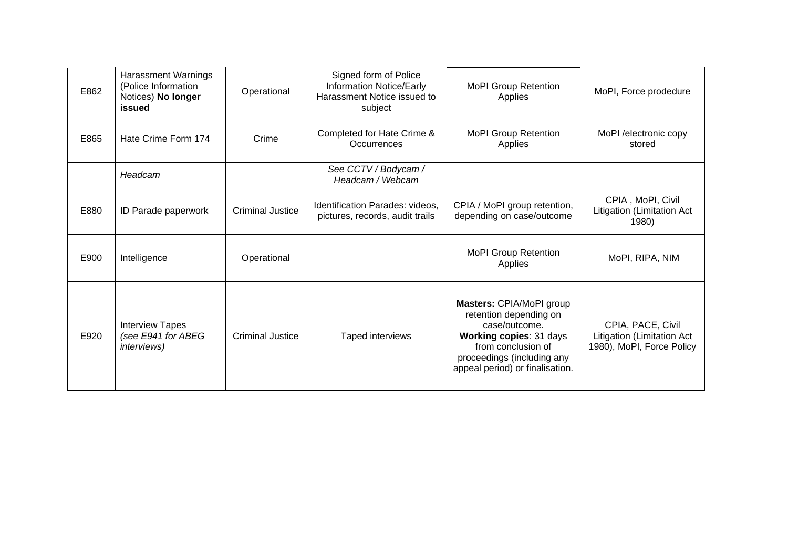| E862 | <b>Harassment Warnings</b><br>(Police Information<br>Notices) No longer<br>issued | Operational             | Signed form of Police<br>Information Notice/Early<br>Harassment Notice issued to<br>subject | <b>MoPI Group Retention</b><br>Applies                                                                                                                                                | MoPI, Force prodedure                                                        |
|------|-----------------------------------------------------------------------------------|-------------------------|---------------------------------------------------------------------------------------------|---------------------------------------------------------------------------------------------------------------------------------------------------------------------------------------|------------------------------------------------------------------------------|
| E865 | Hate Crime Form 174                                                               | Crime                   | Completed for Hate Crime &<br>Occurrences                                                   | <b>MoPI Group Retention</b><br>Applies                                                                                                                                                | MoPI /electronic copy<br>stored                                              |
|      | Headcam                                                                           |                         | See CCTV / Bodycam /<br>Headcam / Webcam                                                    |                                                                                                                                                                                       |                                                                              |
| E880 | ID Parade paperwork                                                               | <b>Criminal Justice</b> | Identification Parades: videos,<br>pictures, records, audit trails                          | CPIA / MoPI group retention,<br>depending on case/outcome                                                                                                                             | CPIA, MoPI, Civil<br>Litigation (Limitation Act<br>1980)                     |
| E900 | Intelligence                                                                      | Operational             |                                                                                             | <b>MoPI Group Retention</b><br>Applies                                                                                                                                                | MoPI, RIPA, NIM                                                              |
| E920 | <b>Interview Tapes</b><br>(see E941 for ABEG<br><i>interviews</i> )               | <b>Criminal Justice</b> | Taped interviews                                                                            | Masters: CPIA/MoPI group<br>retention depending on<br>case/outcome.<br>Working copies: 31 days<br>from conclusion of<br>proceedings (including any<br>appeal period) or finalisation. | CPIA, PACE, Civil<br>Litigation (Limitation Act<br>1980), MoPI, Force Policy |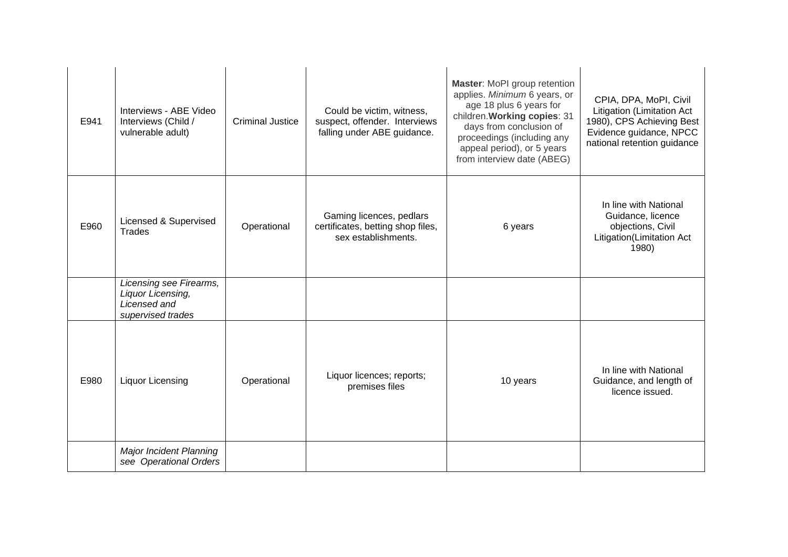| E941 | Interviews - ABE Video<br>Interviews (Child /<br>vulnerable adult)                | <b>Criminal Justice</b> | Could be victim, witness,<br>suspect, offender. Interviews<br>falling under ABE guidance. | Master: MoPI group retention<br>applies. Minimum 6 years, or<br>age 18 plus 6 years for<br>children. Working copies: 31<br>days from conclusion of<br>proceedings (including any<br>appeal period), or 5 years<br>from interview date (ABEG) | CPIA, DPA, MoPI, Civil<br>Litigation (Limitation Act<br>1980), CPS Achieving Best<br>Evidence guidance, NPCC<br>national retention guidance |
|------|-----------------------------------------------------------------------------------|-------------------------|-------------------------------------------------------------------------------------------|----------------------------------------------------------------------------------------------------------------------------------------------------------------------------------------------------------------------------------------------|---------------------------------------------------------------------------------------------------------------------------------------------|
| E960 | Licensed & Supervised<br>Trades                                                   | Operational             | Gaming licences, pedlars<br>certificates, betting shop files,<br>sex establishments.      | 6 years                                                                                                                                                                                                                                      | In line with National<br>Guidance, licence<br>objections, Civil<br>Litigation(Limitation Act<br>1980)                                       |
|      | Licensing see Firearms,<br>Liquor Licensing,<br>Licensed and<br>supervised trades |                         |                                                                                           |                                                                                                                                                                                                                                              |                                                                                                                                             |
| E980 | <b>Liquor Licensing</b>                                                           | Operational             | Liquor licences; reports;<br>premises files                                               | 10 years                                                                                                                                                                                                                                     | In line with National<br>Guidance, and length of<br>licence issued.                                                                         |
|      | <b>Major Incident Planning</b><br>see Operational Orders                          |                         |                                                                                           |                                                                                                                                                                                                                                              |                                                                                                                                             |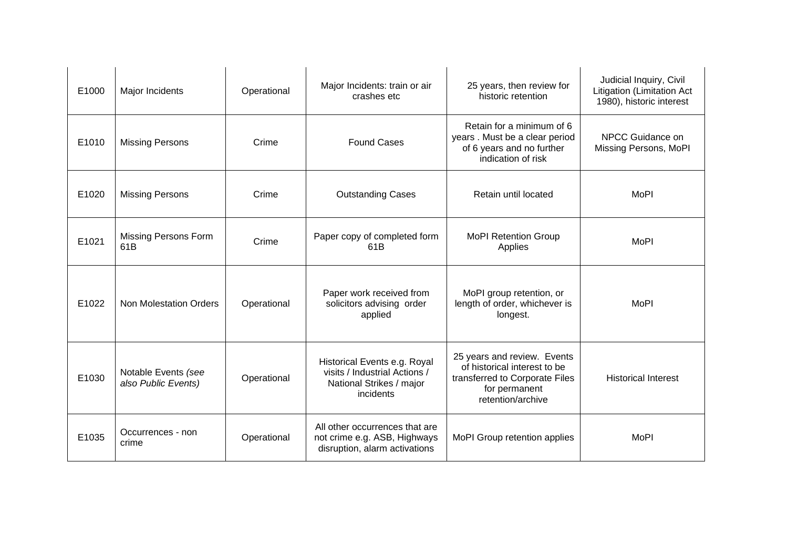| E1000 | Major Incidents                            | Operational | Major Incidents: train or air<br>crashes etc                                                           | 25 years, then review for<br>historic retention                                                                                     | Judicial Inquiry, Civil<br>Litigation (Limitation Act<br>1980), historic interest |
|-------|--------------------------------------------|-------------|--------------------------------------------------------------------------------------------------------|-------------------------------------------------------------------------------------------------------------------------------------|-----------------------------------------------------------------------------------|
| E1010 | <b>Missing Persons</b>                     | Crime       | <b>Found Cases</b>                                                                                     | Retain for a minimum of 6<br>years. Must be a clear period<br>of 6 years and no further<br>indication of risk                       | NPCC Guidance on<br>Missing Persons, MoPl                                         |
| E1020 | <b>Missing Persons</b>                     | Crime       | <b>Outstanding Cases</b>                                                                               | Retain until located                                                                                                                | <b>MoPI</b>                                                                       |
| E1021 | <b>Missing Persons Form</b><br>61B         | Crime       | Paper copy of completed form<br>61B                                                                    | <b>MoPI Retention Group</b><br>Applies                                                                                              | <b>MoPI</b>                                                                       |
| E1022 | <b>Non Molestation Orders</b>              | Operational | Paper work received from<br>solicitors advising order<br>applied                                       | MoPI group retention, or<br>length of order, whichever is<br>longest.                                                               | <b>MoPI</b>                                                                       |
| E1030 | Notable Events (see<br>also Public Events) | Operational | Historical Events e.g. Royal<br>visits / Industrial Actions /<br>National Strikes / major<br>incidents | 25 years and review. Events<br>of historical interest to be<br>transferred to Corporate Files<br>for permanent<br>retention/archive | <b>Historical Interest</b>                                                        |
| E1035 | Occurrences - non<br>crime                 | Operational | All other occurrences that are<br>not crime e.g. ASB, Highways<br>disruption, alarm activations        | MoPI Group retention applies                                                                                                        | <b>MoPI</b>                                                                       |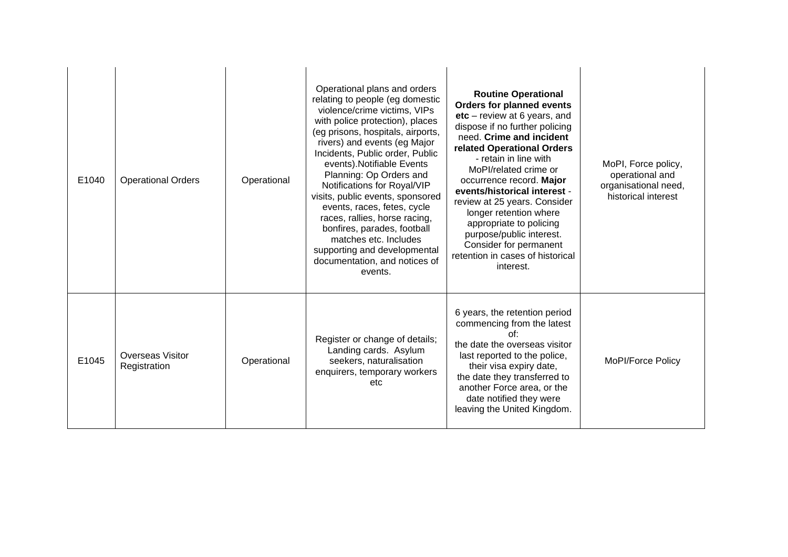| E1040 | <b>Operational Orders</b>               | Operational | Operational plans and orders<br>relating to people (eg domestic<br>violence/crime victims, VIPs<br>with police protection), places<br>(eg prisons, hospitals, airports,<br>rivers) and events (eg Major<br>Incidents, Public order, Public<br>events). Notifiable Events<br>Planning: Op Orders and<br>Notifications for Royal/VIP<br>visits, public events, sponsored<br>events, races, fetes, cycle<br>races, rallies, horse racing,<br>bonfires, parades, football<br>matches etc. Includes<br>supporting and developmental<br>documentation, and notices of<br>events. | <b>Routine Operational</b><br><b>Orders for planned events</b><br>$etc - review$ at 6 years, and<br>dispose if no further policing<br>need. Crime and incident<br>related Operational Orders<br>- retain in line with<br>MoPI/related crime or<br>occurrence record. Major<br>events/historical interest -<br>review at 25 years. Consider<br>longer retention where<br>appropriate to policing<br>purpose/public interest.<br>Consider for permanent<br>retention in cases of historical<br>interest. | MoPI, Force policy,<br>operational and<br>organisational need,<br>historical interest |
|-------|-----------------------------------------|-------------|----------------------------------------------------------------------------------------------------------------------------------------------------------------------------------------------------------------------------------------------------------------------------------------------------------------------------------------------------------------------------------------------------------------------------------------------------------------------------------------------------------------------------------------------------------------------------|--------------------------------------------------------------------------------------------------------------------------------------------------------------------------------------------------------------------------------------------------------------------------------------------------------------------------------------------------------------------------------------------------------------------------------------------------------------------------------------------------------|---------------------------------------------------------------------------------------|
| E1045 | <b>Overseas Visitor</b><br>Registration | Operational | Register or change of details;<br>Landing cards. Asylum<br>seekers, naturalisation<br>enquirers, temporary workers<br>etc                                                                                                                                                                                                                                                                                                                                                                                                                                                  | 6 years, the retention period<br>commencing from the latest<br>of:<br>the date the overseas visitor<br>last reported to the police,<br>their visa expiry date,<br>the date they transferred to<br>another Force area, or the<br>date notified they were<br>leaving the United Kingdom.                                                                                                                                                                                                                 | MoPI/Force Policy                                                                     |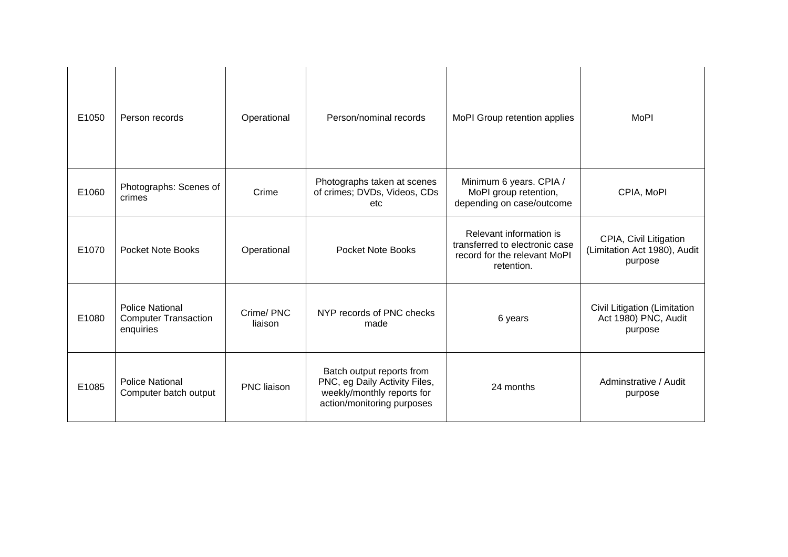| E1050 | Person records                                                     | Operational          | Person/nominal records                                                                                                 | MoPI Group retention applies                                                                            | <b>MoPI</b>                                                       |
|-------|--------------------------------------------------------------------|----------------------|------------------------------------------------------------------------------------------------------------------------|---------------------------------------------------------------------------------------------------------|-------------------------------------------------------------------|
| E1060 | Photographs: Scenes of<br>crimes                                   | Crime                | Photographs taken at scenes<br>of crimes; DVDs, Videos, CDs<br>etc                                                     | Minimum 6 years. CPIA /<br>MoPI group retention,<br>depending on case/outcome                           | CPIA, MoPI                                                        |
| E1070 | <b>Pocket Note Books</b>                                           | Operational          | <b>Pocket Note Books</b>                                                                                               | Relevant information is<br>transferred to electronic case<br>record for the relevant MoPI<br>retention. | CPIA, Civil Litigation<br>(Limitation Act 1980), Audit<br>purpose |
| E1080 | <b>Police National</b><br><b>Computer Transaction</b><br>enquiries | Crime/PNC<br>liaison | NYP records of PNC checks<br>made                                                                                      | 6 years                                                                                                 | Civil Litigation (Limitation<br>Act 1980) PNC, Audit<br>purpose   |
| E1085 | <b>Police National</b><br>Computer batch output                    | PNC liaison          | Batch output reports from<br>PNC, eg Daily Activity Files,<br>weekly/monthly reports for<br>action/monitoring purposes | 24 months                                                                                               | Adminstrative / Audit<br>purpose                                  |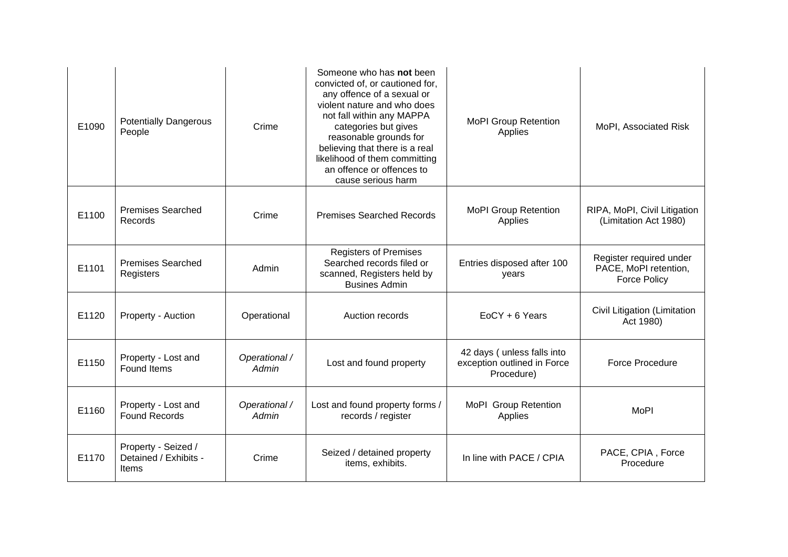| E1090 | <b>Potentially Dangerous</b><br>People                | Crime                  | Someone who has not been<br>convicted of, or cautioned for,<br>any offence of a sexual or<br>violent nature and who does<br>not fall within any MAPPA<br>categories but gives<br>reasonable grounds for<br>believing that there is a real<br>likelihood of them committing<br>an offence or offences to<br>cause serious harm | <b>MoPI Group Retention</b><br>Applies                                  | MoPI, Associated Risk                                                   |
|-------|-------------------------------------------------------|------------------------|-------------------------------------------------------------------------------------------------------------------------------------------------------------------------------------------------------------------------------------------------------------------------------------------------------------------------------|-------------------------------------------------------------------------|-------------------------------------------------------------------------|
| E1100 | <b>Premises Searched</b><br>Records                   | Crime                  | <b>Premises Searched Records</b>                                                                                                                                                                                                                                                                                              | <b>MoPI Group Retention</b><br>Applies                                  | RIPA, MoPI, Civil Litigation<br>(Limitation Act 1980)                   |
| E1101 | <b>Premises Searched</b><br>Registers                 | Admin                  | <b>Registers of Premises</b><br>Searched records filed or<br>scanned, Registers held by<br><b>Busines Admin</b>                                                                                                                                                                                                               | Entries disposed after 100<br>years                                     | Register required under<br>PACE, MoPI retention,<br><b>Force Policy</b> |
| E1120 | Property - Auction                                    | Operational            | Auction records                                                                                                                                                                                                                                                                                                               | EoCY + 6 Years                                                          | Civil Litigation (Limitation<br>Act 1980)                               |
| E1150 | Property - Lost and<br><b>Found Items</b>             | Operational /<br>Admin | Lost and found property                                                                                                                                                                                                                                                                                                       | 42 days (unless falls into<br>exception outlined in Force<br>Procedure) | <b>Force Procedure</b>                                                  |
| E1160 | Property - Lost and<br><b>Found Records</b>           | Operational /<br>Admin | Lost and found property forms /<br>records / register                                                                                                                                                                                                                                                                         | MoPI Group Retention<br>Applies                                         | <b>MoPI</b>                                                             |
| E1170 | Property - Seized /<br>Detained / Exhibits -<br>Items | Crime                  | Seized / detained property<br>items, exhibits.                                                                                                                                                                                                                                                                                | In line with PACE / CPIA                                                | PACE, CPIA, Force<br>Procedure                                          |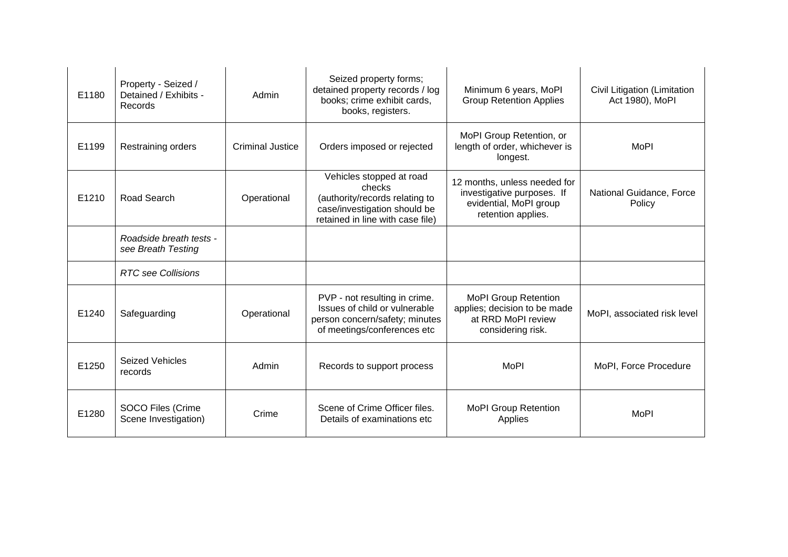| E1180 | Property - Seized /<br>Detained / Exhibits -<br>Records | Admin                   | Seized property forms;<br>detained property records / log<br>books; crime exhibit cards,<br>books, registers.                            | Minimum 6 years, MoPl<br><b>Group Retention Applies</b>                                                    | Civil Litigation (Limitation<br>Act 1980), MoPl |
|-------|---------------------------------------------------------|-------------------------|------------------------------------------------------------------------------------------------------------------------------------------|------------------------------------------------------------------------------------------------------------|-------------------------------------------------|
| E1199 | Restraining orders                                      | <b>Criminal Justice</b> | Orders imposed or rejected                                                                                                               | MoPI Group Retention, or<br>length of order, whichever is<br>longest.                                      | <b>MoPI</b>                                     |
| E1210 | Road Search                                             | Operational             | Vehicles stopped at road<br>checks<br>(authority/records relating to<br>case/investigation should be<br>retained in line with case file) | 12 months, unless needed for<br>investigative purposes. If<br>evidential, MoPI group<br>retention applies. | National Guidance, Force<br>Policy              |
|       | Roadside breath tests -<br>see Breath Testing           |                         |                                                                                                                                          |                                                                                                            |                                                 |
|       | <b>RTC</b> see Collisions                               |                         |                                                                                                                                          |                                                                                                            |                                                 |
| E1240 | Safeguarding                                            | Operational             | PVP - not resulting in crime.<br>Issues of child or vulnerable<br>person concern/safety; minutes<br>of meetings/conferences etc          | <b>MoPI Group Retention</b><br>applies; decision to be made<br>at RRD MoPI review<br>considering risk.     | MoPI, associated risk level                     |
| E1250 | <b>Seized Vehicles</b><br>records                       | Admin                   | Records to support process                                                                                                               | <b>MoPI</b>                                                                                                | MoPI, Force Procedure                           |
| E1280 | SOCO Files (Crime<br>Scene Investigation)               | Crime                   | Scene of Crime Officer files.<br>Details of examinations etc.                                                                            | <b>MoPI Group Retention</b><br>Applies                                                                     | <b>MoPI</b>                                     |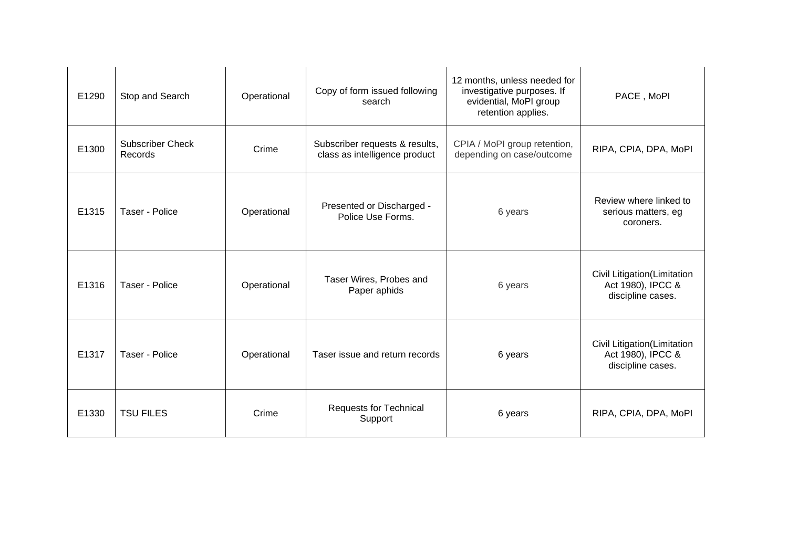| E1290 | Stop and Search                    | Operational | Copy of form issued following<br>search                         | 12 months, unless needed for<br>investigative purposes. If<br>evidential, MoPI group<br>retention applies. | PACE, MoPI                                                            |
|-------|------------------------------------|-------------|-----------------------------------------------------------------|------------------------------------------------------------------------------------------------------------|-----------------------------------------------------------------------|
| E1300 | <b>Subscriber Check</b><br>Records | Crime       | Subscriber requests & results,<br>class as intelligence product | CPIA / MoPI group retention,<br>depending on case/outcome                                                  | RIPA, CPIA, DPA, MoPI                                                 |
| E1315 | Taser - Police                     | Operational | Presented or Discharged -<br>Police Use Forms.                  | 6 years                                                                                                    | Review where linked to<br>serious matters, eg<br>coroners.            |
| E1316 | Taser - Police                     | Operational | Taser Wires, Probes and<br>Paper aphids                         | 6 years                                                                                                    | Civil Litigation(Limitation<br>Act 1980), IPCC &<br>discipline cases. |
| E1317 | Taser - Police                     | Operational | Taser issue and return records                                  | 6 years                                                                                                    | Civil Litigation(Limitation<br>Act 1980), IPCC &<br>discipline cases. |
| E1330 | <b>TSU FILES</b>                   | Crime       | <b>Requests for Technical</b><br>Support                        | 6 years                                                                                                    | RIPA, CPIA, DPA, MoPI                                                 |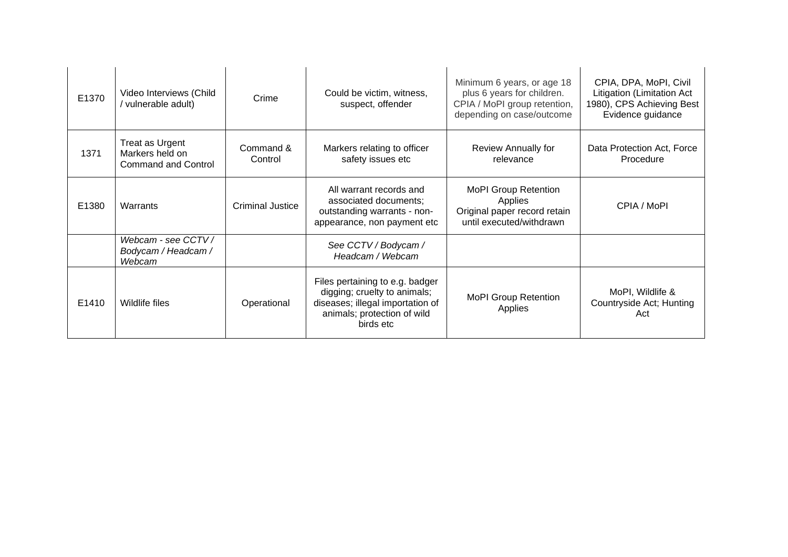| E1370 | Video Interviews (Child<br>/ vulnerable adult)                                           | Crime                   | Could be victim, witness,<br>suspect, offender                                                                                                  | Minimum 6 years, or age 18<br>plus 6 years for children.<br>CPIA / MoPI group retention,<br>depending on case/outcome | CPIA, DPA, MoPI, Civil<br>Litigation (Limitation Act<br>1980), CPS Achieving Best<br>Evidence guidance |
|-------|------------------------------------------------------------------------------------------|-------------------------|-------------------------------------------------------------------------------------------------------------------------------------------------|-----------------------------------------------------------------------------------------------------------------------|--------------------------------------------------------------------------------------------------------|
| 1371  | Treat as Urgent<br>Command &<br>Markers held on<br>Control<br><b>Command and Control</b> |                         | Markers relating to officer<br>safety issues etc                                                                                                | Review Annually for<br>relevance                                                                                      | Data Protection Act, Force<br>Procedure                                                                |
| E1380 | Warrants                                                                                 | <b>Criminal Justice</b> | All warrant records and<br>associated documents;<br>outstanding warrants - non-<br>appearance, non payment etc                                  | <b>MoPI Group Retention</b><br>Applies<br>Original paper record retain<br>until executed/withdrawn                    | CPIA / MoPI                                                                                            |
|       | Webcam - see CCTV /<br>Bodycam / Headcam /<br>Webcam                                     |                         | See CCTV / Bodycam /<br>Headcam / Webcam                                                                                                        |                                                                                                                       |                                                                                                        |
| E1410 | Wildlife files                                                                           | Operational             | Files pertaining to e.g. badger<br>digging; cruelty to animals;<br>diseases; illegal importation of<br>animals; protection of wild<br>birds etc | <b>MoPI Group Retention</b><br>Applies                                                                                | MoPI, Wildlife &<br>Countryside Act; Hunting<br>Act                                                    |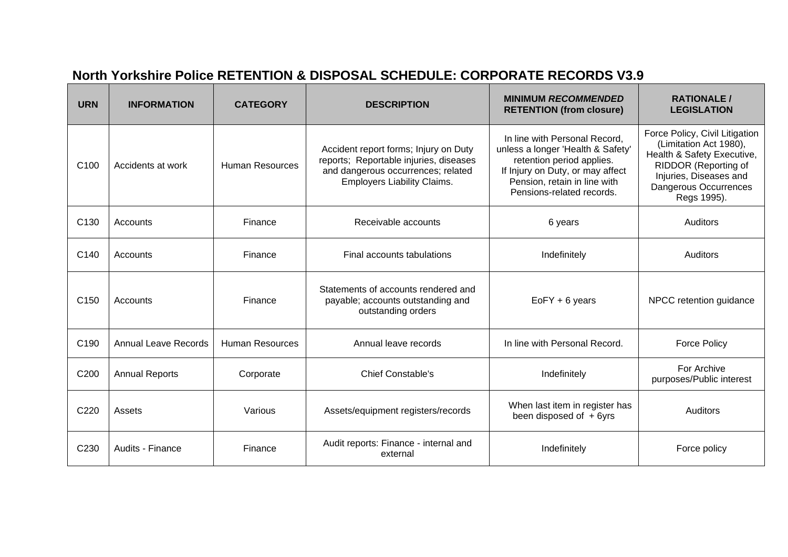## **North Yorkshire Police RETENTION & DISPOSAL SCHEDULE: CORPORATE RECORDS V3.9**

| <b>URN</b>       | <b>INFORMATION</b>          | <b>CATEGORY</b>        | <b>DESCRIPTION</b>                                                                                                                                          | <b>MINIMUM RECOMMENDED</b><br><b>RETENTION (from closure)</b>                                                                                                                                    | <b>RATIONALE/</b><br><b>LEGISLATION</b>                                                                                                                                                 |
|------------------|-----------------------------|------------------------|-------------------------------------------------------------------------------------------------------------------------------------------------------------|--------------------------------------------------------------------------------------------------------------------------------------------------------------------------------------------------|-----------------------------------------------------------------------------------------------------------------------------------------------------------------------------------------|
| C <sub>100</sub> | Accidents at work           | <b>Human Resources</b> | Accident report forms; Injury on Duty<br>reports; Reportable injuries, diseases<br>and dangerous occurrences; related<br><b>Employers Liability Claims.</b> | In line with Personal Record,<br>unless a longer 'Health & Safety'<br>retention period applies.<br>If Injury on Duty, or may affect<br>Pension, retain in line with<br>Pensions-related records. | Force Policy, Civil Litigation<br>(Limitation Act 1980),<br>Health & Safety Executive,<br>RIDDOR (Reporting of<br>Injuries, Diseases and<br><b>Dangerous Occurrences</b><br>Regs 1995). |
| C <sub>130</sub> | Accounts                    | Finance                | Receivable accounts                                                                                                                                         | 6 years                                                                                                                                                                                          | <b>Auditors</b>                                                                                                                                                                         |
| C140             | Accounts                    | Finance                | Final accounts tabulations                                                                                                                                  | Indefinitely                                                                                                                                                                                     | <b>Auditors</b>                                                                                                                                                                         |
| C <sub>150</sub> | Accounts                    | Finance                | Statements of accounts rendered and<br>payable; accounts outstanding and<br>outstanding orders                                                              | EoFY + 6 years                                                                                                                                                                                   | NPCC retention guidance                                                                                                                                                                 |
| C <sub>190</sub> | <b>Annual Leave Records</b> | <b>Human Resources</b> | Annual leave records                                                                                                                                        | In line with Personal Record.                                                                                                                                                                    | <b>Force Policy</b>                                                                                                                                                                     |
| C <sub>200</sub> | <b>Annual Reports</b>       | Corporate              | Chief Constable's                                                                                                                                           | Indefinitely                                                                                                                                                                                     | For Archive<br>purposes/Public interest                                                                                                                                                 |
| C220             | Assets                      | Various                | Assets/equipment registers/records                                                                                                                          | When last item in register has<br>been disposed of +6yrs                                                                                                                                         | Auditors                                                                                                                                                                                |
| C230             | Audits - Finance            | Finance                | Audit reports: Finance - internal and<br>external                                                                                                           | Indefinitely                                                                                                                                                                                     | Force policy                                                                                                                                                                            |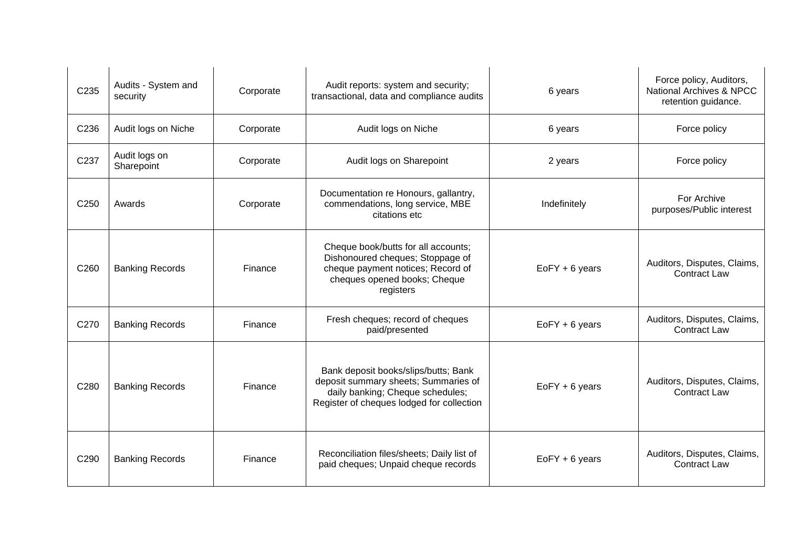| C235             | Audits - System and<br>security | Corporate | Audit reports: system and security;<br>transactional, data and compliance audits                                                                              | 6 years          | Force policy, Auditors,<br>National Archives & NPCC<br>retention guidance. |
|------------------|---------------------------------|-----------|---------------------------------------------------------------------------------------------------------------------------------------------------------------|------------------|----------------------------------------------------------------------------|
| C236             | Audit logs on Niche             | Corporate | Audit logs on Niche                                                                                                                                           | 6 years          | Force policy                                                               |
| C237             | Audit logs on<br>Sharepoint     | Corporate | Audit logs on Sharepoint                                                                                                                                      | 2 years          | Force policy                                                               |
| C <sub>250</sub> | Awards                          | Corporate | Documentation re Honours, gallantry,<br>commendations, long service, MBE<br>citations etc                                                                     | Indefinitely     | For Archive<br>purposes/Public interest                                    |
| C260             | <b>Banking Records</b>          | Finance   | Cheque book/butts for all accounts;<br>Dishonoured cheques; Stoppage of<br>cheque payment notices; Record of<br>cheques opened books; Cheque<br>registers     | $EoFY + 6$ years | Auditors, Disputes, Claims,<br><b>Contract Law</b>                         |
| C270             | <b>Banking Records</b>          | Finance   | Fresh cheques; record of cheques<br>paid/presented                                                                                                            | $EoFY + 6$ years | Auditors, Disputes, Claims,<br><b>Contract Law</b>                         |
| C280             | <b>Banking Records</b>          | Finance   | Bank deposit books/slips/butts; Bank<br>deposit summary sheets; Summaries of<br>daily banking; Cheque schedules;<br>Register of cheques lodged for collection | $EoFY + 6$ years | Auditors, Disputes, Claims,<br><b>Contract Law</b>                         |
| C290             | <b>Banking Records</b>          | Finance   | Reconciliation files/sheets; Daily list of<br>paid cheques; Unpaid cheque records                                                                             | $EoFY + 6$ years | Auditors, Disputes, Claims,<br><b>Contract Law</b>                         |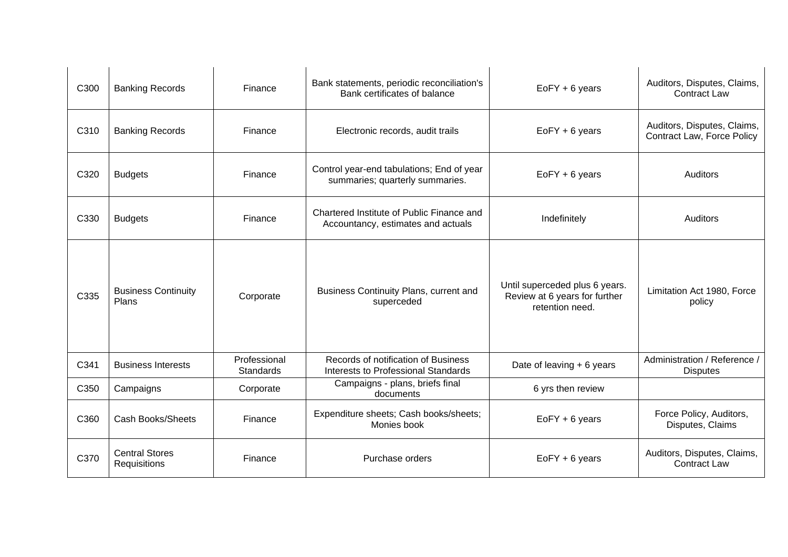| C300 | <b>Banking Records</b>                | Finance                   | Bank statements, periodic reconciliation's<br>Bank certificates of balance        | EoFY + 6 years                                                                     | Auditors, Disputes, Claims,<br><b>Contract Law</b>        |
|------|---------------------------------------|---------------------------|-----------------------------------------------------------------------------------|------------------------------------------------------------------------------------|-----------------------------------------------------------|
| C310 | <b>Banking Records</b>                | Finance                   | Electronic records, audit trails                                                  | EoFY + 6 years                                                                     | Auditors, Disputes, Claims,<br>Contract Law, Force Policy |
| C320 | <b>Budgets</b>                        | Finance                   | Control year-end tabulations; End of year<br>summaries; quarterly summaries.      | $EoFY + 6$ years                                                                   | Auditors                                                  |
| C330 | <b>Budgets</b>                        | Finance                   | Chartered Institute of Public Finance and<br>Accountancy, estimates and actuals   | Indefinitely                                                                       | Auditors                                                  |
| C335 | <b>Business Continuity</b><br>Plans   | Corporate                 | Business Continuity Plans, current and<br>superceded                              | Until superceded plus 6 years.<br>Review at 6 years for further<br>retention need. | Limitation Act 1980, Force<br>policy                      |
| C341 | <b>Business Interests</b>             | Professional<br>Standards | Records of notification of Business<br><b>Interests to Professional Standards</b> | Date of leaving + 6 years                                                          | Administration / Reference /<br><b>Disputes</b>           |
| C350 | Campaigns                             | Corporate                 | Campaigns - plans, briefs final<br>documents                                      | 6 yrs then review                                                                  |                                                           |
| C360 | <b>Cash Books/Sheets</b>              | Finance                   | Expenditure sheets; Cash books/sheets;<br>Monies book                             | EoFY + 6 years                                                                     | Force Policy, Auditors,<br>Disputes, Claims               |
| C370 | <b>Central Stores</b><br>Requisitions | Finance                   | Purchase orders                                                                   | EoFY + 6 years                                                                     | Auditors, Disputes, Claims,<br><b>Contract Law</b>        |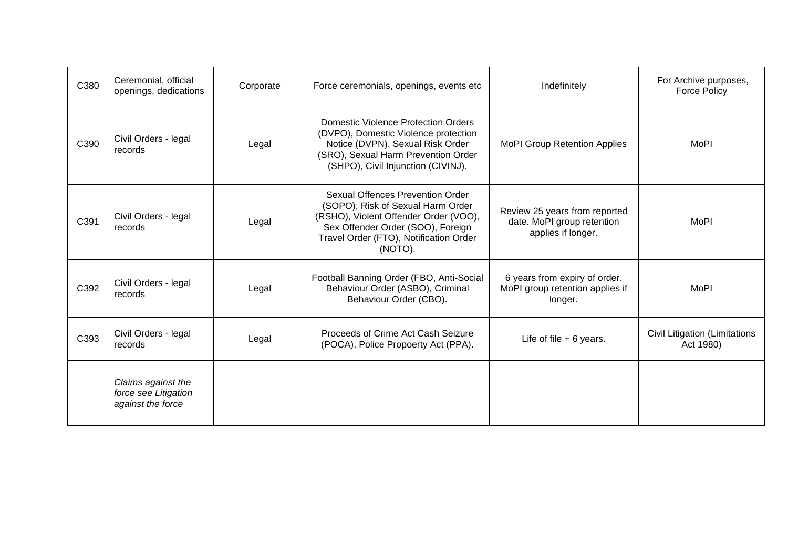| C380 | Ceremonial, official<br>openings, dedications                   | Corporate | Force ceremonials, openings, events etc                                                                                                                                                                  | Indefinitely                                                                      | For Archive purposes,<br><b>Force Policy</b> |
|------|-----------------------------------------------------------------|-----------|----------------------------------------------------------------------------------------------------------------------------------------------------------------------------------------------------------|-----------------------------------------------------------------------------------|----------------------------------------------|
| C390 | Civil Orders - legal<br>records                                 | Legal     | <b>Domestic Violence Protection Orders</b><br>(DVPO), Domestic Violence protection<br>Notice (DVPN), Sexual Risk Order<br>(SRO), Sexual Harm Prevention Order<br>(SHPO), Civil Injunction (CIVINJ).      | <b>MoPI Group Retention Applies</b>                                               | <b>MoPI</b>                                  |
| C391 | Civil Orders - legal<br>records                                 | Legal     | Sexual Offences Prevention Order<br>(SOPO), Risk of Sexual Harm Order<br>(RSHO), Violent Offender Order (VOO),<br>Sex Offender Order (SOO), Foreign<br>Travel Order (FTO), Notification Order<br>(NOTO). | Review 25 years from reported<br>date. MoPI group retention<br>applies if longer. | <b>MoPI</b>                                  |
| C392 | Civil Orders - legal<br>records                                 | Legal     | Football Banning Order (FBO, Anti-Social<br>Behaviour Order (ASBO), Criminal<br>Behaviour Order (CBO).                                                                                                   | 6 years from expiry of order.<br>MoPI group retention applies if<br>longer.       | <b>MoPI</b>                                  |
| C393 | Civil Orders - legal<br>records                                 | Legal     | Proceeds of Crime Act Cash Seizure<br>(POCA), Police Propoerty Act (PPA).                                                                                                                                | Life of file $+6$ years.                                                          | Civil Litigation (Limitations<br>Act 1980)   |
|      | Claims against the<br>force see Litigation<br>against the force |           |                                                                                                                                                                                                          |                                                                                   |                                              |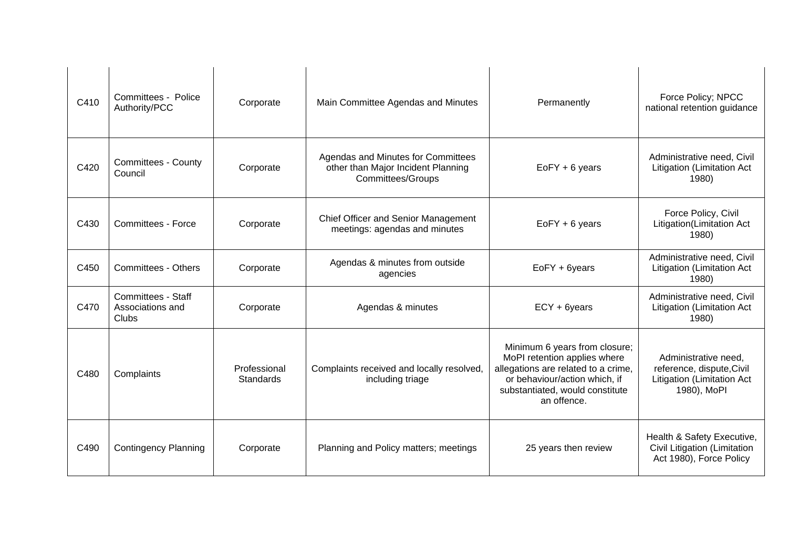| C410 | Committees - Police<br>Authority/PCC                   | Corporate                 | Main Committee Agendas and Minutes                                                                   | Permanently                                                                                                                                                                             | Force Policy; NPCC<br>national retention guidance                                              |
|------|--------------------------------------------------------|---------------------------|------------------------------------------------------------------------------------------------------|-----------------------------------------------------------------------------------------------------------------------------------------------------------------------------------------|------------------------------------------------------------------------------------------------|
| C420 | <b>Committees - County</b><br>Council                  | Corporate                 | Agendas and Minutes for Committees<br>other than Major Incident Planning<br><b>Committees/Groups</b> | $EoFY + 6$ years                                                                                                                                                                        | Administrative need, Civil<br><b>Litigation (Limitation Act</b><br>1980)                       |
| C430 | Committees - Force                                     | Corporate                 | Chief Officer and Senior Management<br>meetings: agendas and minutes                                 | $EoFY + 6$ years                                                                                                                                                                        | Force Policy, Civil<br>Litigation(Limitation Act<br>1980)                                      |
| C450 | <b>Committees - Others</b>                             | Corporate                 | Agendas & minutes from outside<br>agencies                                                           | EoFY + 6years                                                                                                                                                                           | Administrative need, Civil<br>Litigation (Limitation Act<br>1980)                              |
| C470 | <b>Committees - Staff</b><br>Associations and<br>Clubs | Corporate                 | Agendas & minutes                                                                                    | ECY + 6years                                                                                                                                                                            | Administrative need, Civil<br>Litigation (Limitation Act<br>1980)                              |
| C480 | Complaints                                             | Professional<br>Standards | Complaints received and locally resolved,<br>including triage                                        | Minimum 6 years from closure;<br>MoPI retention applies where<br>allegations are related to a crime,<br>or behaviour/action which, if<br>substantiated, would constitute<br>an offence. | Administrative need,<br>reference, dispute, Civil<br>Litigation (Limitation Act<br>1980), MoPI |
| C490 | <b>Contingency Planning</b>                            | Corporate                 | Planning and Policy matters; meetings                                                                | 25 years then review                                                                                                                                                                    | Health & Safety Executive,<br>Civil Litigation (Limitation<br>Act 1980), Force Policy          |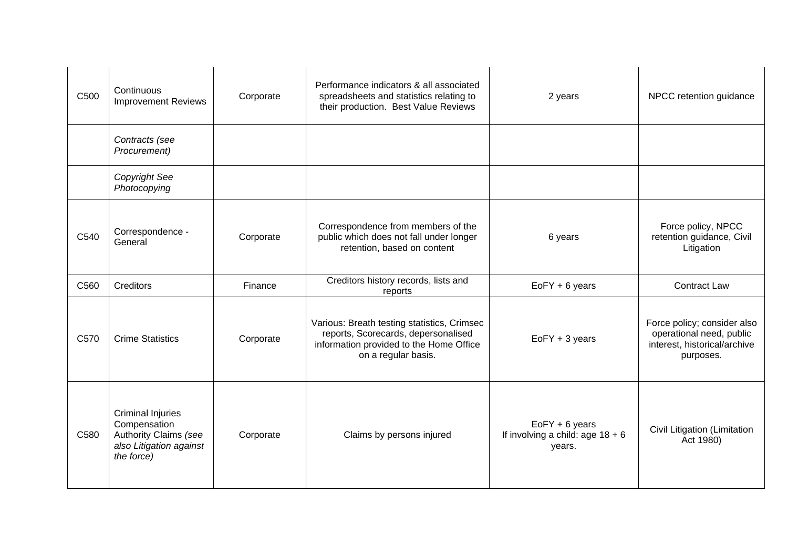| C500 | Continuous<br><b>Improvement Reviews</b>                                                                   | Corporate | Performance indicators & all associated<br>spreadsheets and statistics relating to<br>their production. Best Value Reviews                           | 2 years                                                          | NPCC retention guidance                                                                              |
|------|------------------------------------------------------------------------------------------------------------|-----------|------------------------------------------------------------------------------------------------------------------------------------------------------|------------------------------------------------------------------|------------------------------------------------------------------------------------------------------|
|      | Contracts (see<br>Procurement)                                                                             |           |                                                                                                                                                      |                                                                  |                                                                                                      |
|      | <b>Copyright See</b><br>Photocopying                                                                       |           |                                                                                                                                                      |                                                                  |                                                                                                      |
| C540 | Correspondence -<br>General                                                                                | Corporate | Correspondence from members of the<br>public which does not fall under longer<br>retention, based on content                                         | 6 years                                                          | Force policy, NPCC<br>retention guidance, Civil<br>Litigation                                        |
| C560 | Creditors                                                                                                  | Finance   | Creditors history records, lists and<br>reports                                                                                                      | $EoFY + 6$ years                                                 | <b>Contract Law</b>                                                                                  |
| C570 | <b>Crime Statistics</b>                                                                                    | Corporate | Various: Breath testing statistics, Crimsec<br>reports, Scorecards, depersonalised<br>information provided to the Home Office<br>on a regular basis. | $EoFY + 3$ years                                                 | Force policy; consider also<br>operational need, public<br>interest, historical/archive<br>purposes. |
| C580 | <b>Criminal Injuries</b><br>Compensation<br>Authority Claims (see<br>also Litigation against<br>the force) | Corporate | Claims by persons injured                                                                                                                            | $EoFY + 6$ years<br>If involving a child: age $18 + 6$<br>years. | Civil Litigation (Limitation<br>Act 1980)                                                            |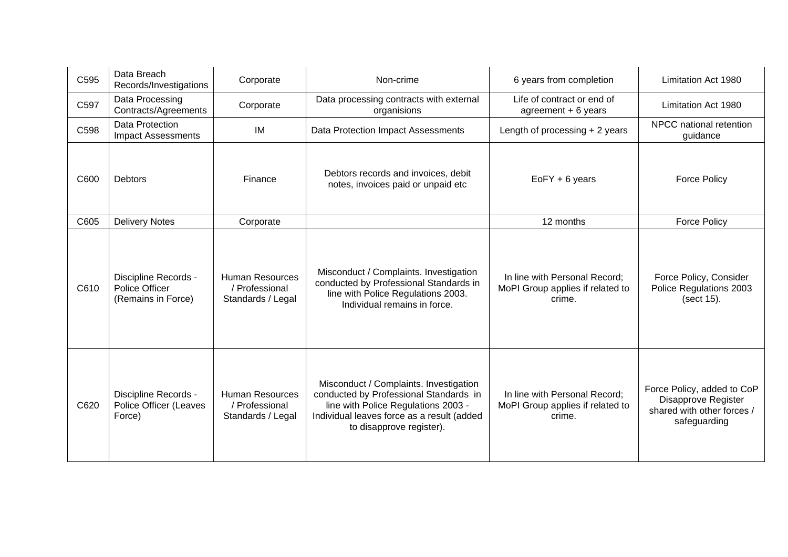| C595 | Data Breach<br>Records/Investigations                           | Corporate                                                     | Non-crime                                                                                                                                                                                         | 6 years from completion                                                     | Limitation Act 1980                                                                             |
|------|-----------------------------------------------------------------|---------------------------------------------------------------|---------------------------------------------------------------------------------------------------------------------------------------------------------------------------------------------------|-----------------------------------------------------------------------------|-------------------------------------------------------------------------------------------------|
| C597 | Data Processing<br>Contracts/Agreements                         | Corporate                                                     | Data processing contracts with external<br>organisions                                                                                                                                            | Life of contract or end of<br>agreement $+6$ years                          | Limitation Act 1980                                                                             |
| C598 | Data Protection<br><b>Impact Assessments</b>                    | IM                                                            | Data Protection Impact Assessments                                                                                                                                                                | Length of processing $+2$ years                                             | NPCC national retention<br>guidance                                                             |
| C600 | <b>Debtors</b>                                                  | Finance                                                       | Debtors records and invoices, debit<br>notes, invoices paid or unpaid etc                                                                                                                         | $EoFY + 6$ years                                                            | <b>Force Policy</b>                                                                             |
| C605 | <b>Delivery Notes</b>                                           | Corporate                                                     |                                                                                                                                                                                                   | 12 months                                                                   | <b>Force Policy</b>                                                                             |
| C610 | Discipline Records -<br>Police Officer<br>(Remains in Force)    | <b>Human Resources</b><br>/ Professional<br>Standards / Legal | Misconduct / Complaints. Investigation<br>conducted by Professional Standards in<br>line with Police Regulations 2003.<br>Individual remains in force.                                            | In line with Personal Record;<br>MoPI Group applies if related to<br>crime. | Force Policy, Consider<br>Police Regulations 2003<br>(sect 15).                                 |
| C620 | Discipline Records -<br><b>Police Officer (Leaves</b><br>Force) | <b>Human Resources</b><br>/ Professional<br>Standards / Legal | Misconduct / Complaints. Investigation<br>conducted by Professional Standards in<br>line with Police Regulations 2003 -<br>Individual leaves force as a result (added<br>to disapprove register). | In line with Personal Record;<br>MoPI Group applies if related to<br>crime. | Force Policy, added to CoP<br>Disapprove Register<br>shared with other forces /<br>safeguarding |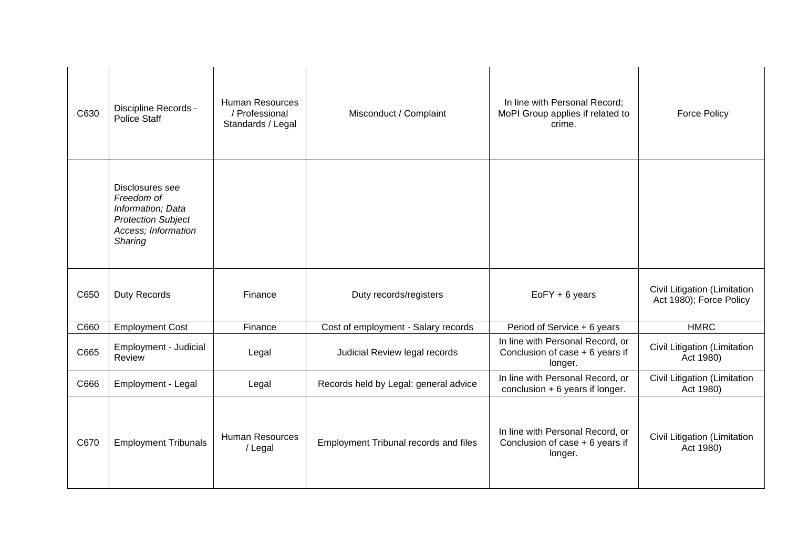| C630 | Discipline Records -<br><b>Police Staff</b>                                                                       | <b>Human Resources</b><br>/ Professional<br>Standards / Legal | Misconduct / Complaint                | In line with Personal Record;<br>MoPI Group applies if related to<br>crime.     | <b>Force Policy</b>                                     |
|------|-------------------------------------------------------------------------------------------------------------------|---------------------------------------------------------------|---------------------------------------|---------------------------------------------------------------------------------|---------------------------------------------------------|
|      | Disclosures see<br>Freedom of<br>Information; Data<br><b>Protection Subject</b><br>Access; Information<br>Sharing |                                                               |                                       |                                                                                 |                                                         |
| C650 | Duty Records                                                                                                      | Finance                                                       | Duty records/registers                | $EoFY + 6$ years                                                                | Civil Litigation (Limitation<br>Act 1980); Force Policy |
| C660 | <b>Employment Cost</b>                                                                                            | Finance                                                       | Cost of employment - Salary records   | Period of Service + 6 years                                                     | <b>HMRC</b>                                             |
| C665 | Employment - Judicial<br>Review                                                                                   | Legal                                                         | Judicial Review legal records         | In line with Personal Record, or<br>Conclusion of case $+6$ years if<br>longer. | Civil Litigation (Limitation<br>Act 1980)               |
| C666 | Employment - Legal                                                                                                | Legal                                                         | Records held by Legal: general advice | In line with Personal Record, or<br>conclusion $+ 6$ years if longer.           | Civil Litigation (Limitation<br>Act 1980)               |
| C670 | <b>Employment Tribunals</b>                                                                                       | <b>Human Resources</b><br>/ Legal                             | Employment Tribunal records and files | In line with Personal Record, or<br>Conclusion of case + 6 years if<br>longer.  | Civil Litigation (Limitation<br>Act 1980)               |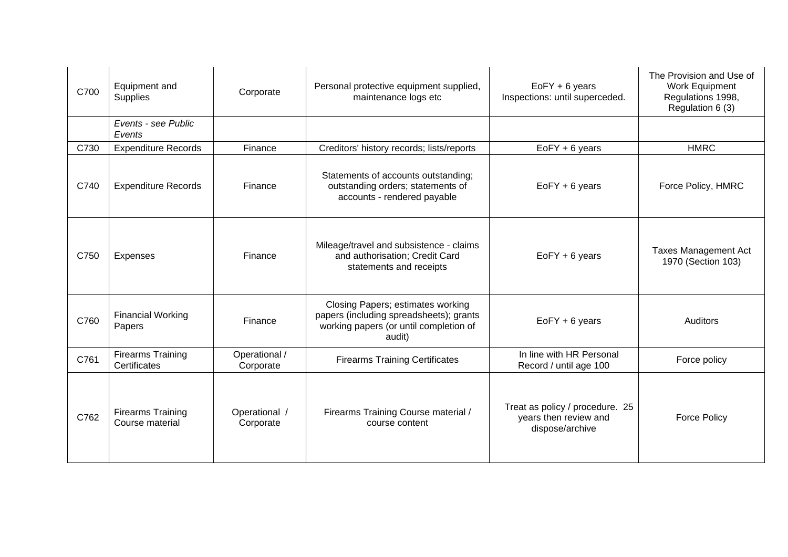| C700 | Equipment and<br><b>Supplies</b>            | Corporate                  | Personal protective equipment supplied,<br>maintenance logs etc                                                                  | $EoFY + 6$ years<br>Inspections: until superceded.                          | The Provision and Use of<br>Work Equipment<br>Regulations 1998,<br>Regulation 6 (3) |
|------|---------------------------------------------|----------------------------|----------------------------------------------------------------------------------------------------------------------------------|-----------------------------------------------------------------------------|-------------------------------------------------------------------------------------|
|      | Events - see Public<br>Events               |                            |                                                                                                                                  |                                                                             |                                                                                     |
| C730 | <b>Expenditure Records</b>                  | Finance                    | Creditors' history records; lists/reports                                                                                        | $EoFY + 6$ years                                                            | <b>HMRC</b>                                                                         |
| C740 | <b>Expenditure Records</b>                  | Finance                    | Statements of accounts outstanding;<br>outstanding orders; statements of<br>accounts - rendered payable                          | $EoFY + 6$ years                                                            | Force Policy, HMRC                                                                  |
| C750 | <b>Expenses</b>                             | Finance                    | Mileage/travel and subsistence - claims<br>and authorisation; Credit Card<br>statements and receipts                             | $EoFY + 6$ years                                                            | <b>Taxes Management Act</b><br>1970 (Section 103)                                   |
| C760 | <b>Financial Working</b><br>Papers          | Finance                    | Closing Papers; estimates working<br>papers (including spreadsheets); grants<br>working papers (or until completion of<br>audit) | $EoFY + 6$ years                                                            | <b>Auditors</b>                                                                     |
| C761 | <b>Firearms Training</b><br>Certificates    | Operational /<br>Corporate | <b>Firearms Training Certificates</b>                                                                                            | In line with HR Personal<br>Record / until age 100                          | Force policy                                                                        |
| C762 | <b>Firearms Training</b><br>Course material | Operational /<br>Corporate | Firearms Training Course material /<br>course content                                                                            | Treat as policy / procedure. 25<br>years then review and<br>dispose/archive | <b>Force Policy</b>                                                                 |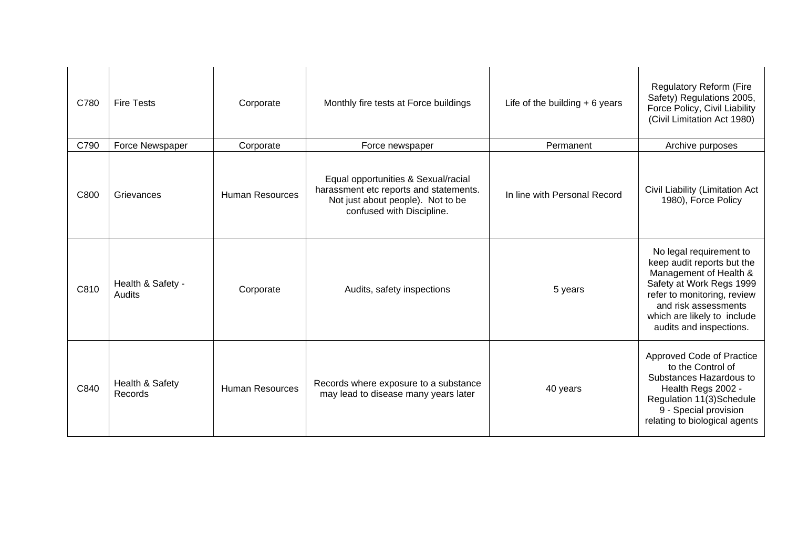| C780 | <b>Fire Tests</b>           | Corporate              | Monthly fire tests at Force buildings                                                                                                           | Life of the building $+ 6$ years | Regulatory Reform (Fire<br>Safety) Regulations 2005,<br>Force Policy, Civil Liability<br>(Civil Limitation Act 1980)                                                                                                         |
|------|-----------------------------|------------------------|-------------------------------------------------------------------------------------------------------------------------------------------------|----------------------------------|------------------------------------------------------------------------------------------------------------------------------------------------------------------------------------------------------------------------------|
| C790 | Force Newspaper             | Corporate              | Force newspaper                                                                                                                                 | Permanent                        | Archive purposes                                                                                                                                                                                                             |
| C800 | Grievances                  | <b>Human Resources</b> | Equal opportunities & Sexual/racial<br>harassment etc reports and statements.<br>Not just about people). Not to be<br>confused with Discipline. | In line with Personal Record     | Civil Liability (Limitation Act<br>1980), Force Policy                                                                                                                                                                       |
| C810 | Health & Safety -<br>Audits | Corporate              | Audits, safety inspections                                                                                                                      | 5 years                          | No legal requirement to<br>keep audit reports but the<br>Management of Health &<br>Safety at Work Regs 1999<br>refer to monitoring, review<br>and risk assessments<br>which are likely to include<br>audits and inspections. |
| C840 | Health & Safety<br>Records  | <b>Human Resources</b> | Records where exposure to a substance<br>may lead to disease many years later                                                                   | 40 years                         | Approved Code of Practice<br>to the Control of<br>Substances Hazardous to<br>Health Regs 2002 -<br>Regulation 11(3)Schedule<br>9 - Special provision<br>relating to biological agents                                        |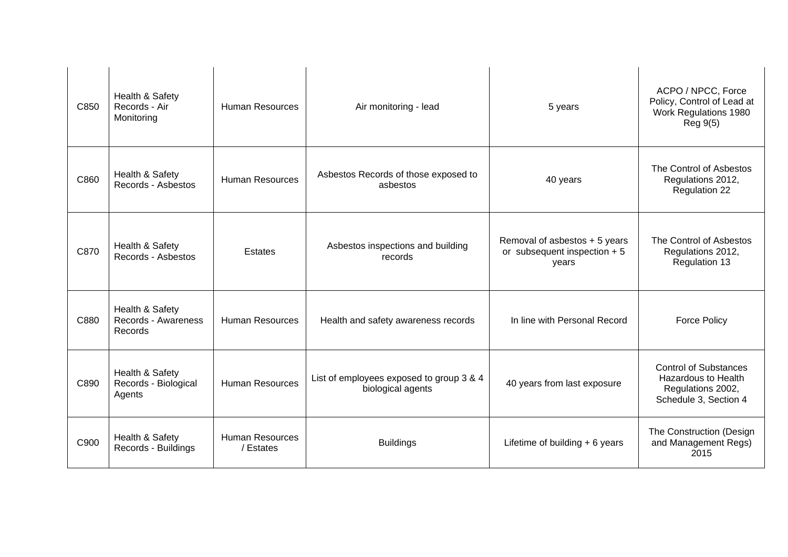| C850 | Health & Safety<br>Records - Air<br>Monitoring    | <b>Human Resources</b>              | Air monitoring - lead                                         | 5 years                                                                 | ACPO / NPCC, Force<br>Policy, Control of Lead at<br>Work Regulations 1980<br>Reg 9(5)                    |
|------|---------------------------------------------------|-------------------------------------|---------------------------------------------------------------|-------------------------------------------------------------------------|----------------------------------------------------------------------------------------------------------|
| C860 | Health & Safety<br>Records - Asbestos             | <b>Human Resources</b>              | Asbestos Records of those exposed to<br>asbestos              | 40 years                                                                | The Control of Asbestos<br>Regulations 2012,<br><b>Regulation 22</b>                                     |
| C870 | Health & Safety<br>Records - Asbestos             | Estates                             | Asbestos inspections and building<br>records                  | Removal of asbestos + 5 years<br>or subsequent inspection $+5$<br>years | The Control of Asbestos<br>Regulations 2012,<br>Regulation 13                                            |
| C880 | Health & Safety<br>Records - Awareness<br>Records | <b>Human Resources</b>              | Health and safety awareness records                           | In line with Personal Record                                            | <b>Force Policy</b>                                                                                      |
| C890 | Health & Safety<br>Records - Biological<br>Agents | <b>Human Resources</b>              | List of employees exposed to group 3 & 4<br>biological agents | 40 years from last exposure                                             | <b>Control of Substances</b><br><b>Hazardous to Health</b><br>Regulations 2002,<br>Schedule 3, Section 4 |
| C900 | Health & Safety<br>Records - Buildings            | <b>Human Resources</b><br>/ Estates | <b>Buildings</b>                                              | Lifetime of building $+ 6$ years                                        | The Construction (Design<br>and Management Regs)<br>2015                                                 |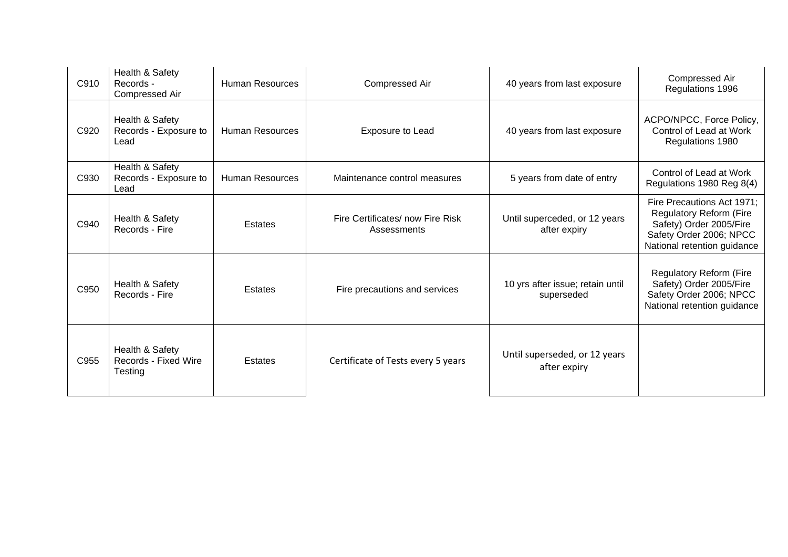| C910 | Health & Safety<br>Records -<br>Compressed Air     | Human Resources        | Compressed Air                                  | 40 years from last exposure                    | Compressed Air<br>Regulations 1996                                                                                                         |
|------|----------------------------------------------------|------------------------|-------------------------------------------------|------------------------------------------------|--------------------------------------------------------------------------------------------------------------------------------------------|
| C920 | Health & Safety<br>Records - Exposure to<br>Lead   | <b>Human Resources</b> | Exposure to Lead                                | 40 years from last exposure                    | ACPO/NPCC, Force Policy,<br>Control of Lead at Work<br>Regulations 1980                                                                    |
| C930 | Health & Safety<br>Records - Exposure to<br>Lead   | <b>Human Resources</b> | Maintenance control measures                    | 5 years from date of entry                     | Control of Lead at Work<br>Regulations 1980 Reg 8(4)                                                                                       |
| C940 | Health & Safety<br>Records - Fire                  | <b>Estates</b>         | Fire Certificates/ now Fire Risk<br>Assessments | Until superceded, or 12 years<br>after expiry  | Fire Precautions Act 1971;<br>Regulatory Reform (Fire<br>Safety) Order 2005/Fire<br>Safety Order 2006; NPCC<br>National retention guidance |
| C950 | Health & Safety<br>Records - Fire                  | Estates                | Fire precautions and services                   | 10 yrs after issue; retain until<br>superseded | Regulatory Reform (Fire<br>Safety) Order 2005/Fire<br>Safety Order 2006; NPCC<br>National retention guidance                               |
| C955 | Health & Safety<br>Records - Fixed Wire<br>Testing | Estates                | Certificate of Tests every 5 years              | Until superseded, or 12 years<br>after expiry  |                                                                                                                                            |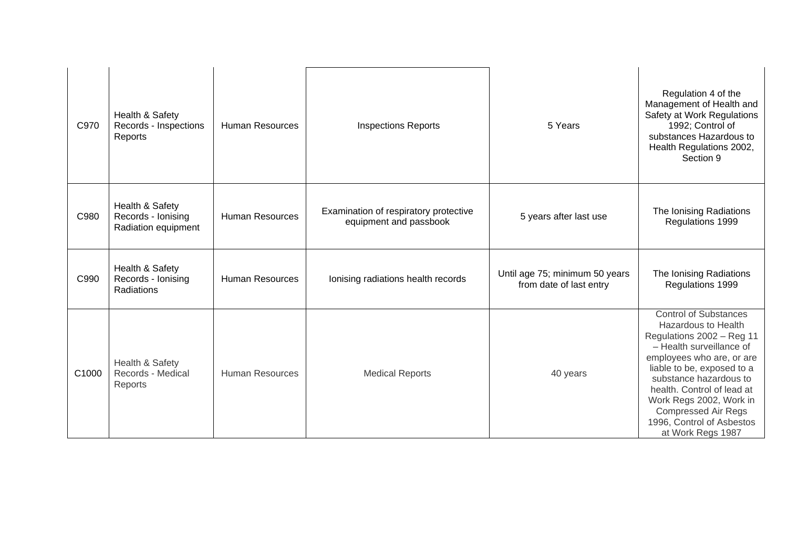| C970  | Health & Safety<br>Records - Inspections<br>Reports          | <b>Human Resources</b> | <b>Inspections Reports</b>                                      | 5 Years                                                   | Regulation 4 of the<br>Management of Health and<br>Safety at Work Regulations<br>1992; Control of<br>substances Hazardous to<br>Health Regulations 2002,<br>Section 9                                                                                                                                                                      |
|-------|--------------------------------------------------------------|------------------------|-----------------------------------------------------------------|-----------------------------------------------------------|--------------------------------------------------------------------------------------------------------------------------------------------------------------------------------------------------------------------------------------------------------------------------------------------------------------------------------------------|
| C980  | Health & Safety<br>Records - Ionising<br>Radiation equipment | <b>Human Resources</b> | Examination of respiratory protective<br>equipment and passbook | 5 years after last use                                    | The Ionising Radiations<br>Regulations 1999                                                                                                                                                                                                                                                                                                |
| C990  | Health & Safety<br>Records - Ionising<br>Radiations          | <b>Human Resources</b> | Ionising radiations health records                              | Until age 75; minimum 50 years<br>from date of last entry | The Ionising Radiations<br>Regulations 1999                                                                                                                                                                                                                                                                                                |
| C1000 | Health & Safety<br>Records - Medical<br>Reports              | <b>Human Resources</b> | <b>Medical Reports</b>                                          | 40 years                                                  | <b>Control of Substances</b><br>Hazardous to Health<br>Regulations 2002 - Reg 11<br>- Health surveillance of<br>employees who are, or are<br>liable to be, exposed to a<br>substance hazardous to<br>health. Control of lead at<br>Work Regs 2002, Work in<br><b>Compressed Air Regs</b><br>1996, Control of Asbestos<br>at Work Regs 1987 |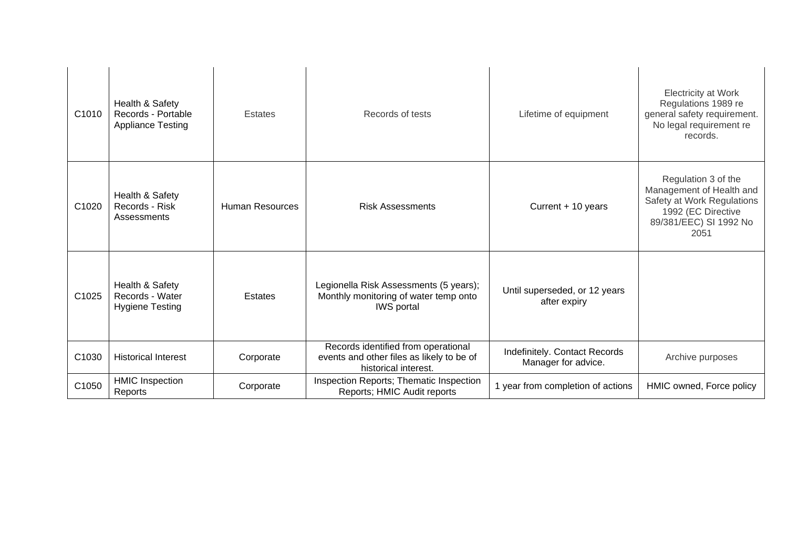| C1010             | Health & Safety<br>Records - Portable<br><b>Appliance Testing</b> | Estates                | Records of tests                                                                                         | Lifetime of equipment                                | Electricity at Work<br>Regulations 1989 re<br>general safety requirement.<br>No legal requirement re<br>records.                      |
|-------------------|-------------------------------------------------------------------|------------------------|----------------------------------------------------------------------------------------------------------|------------------------------------------------------|---------------------------------------------------------------------------------------------------------------------------------------|
| C1020             | Health & Safety<br>Records - Risk<br>Assessments                  | <b>Human Resources</b> | <b>Risk Assessments</b>                                                                                  | Current + 10 years                                   | Regulation 3 of the<br>Management of Health and<br>Safety at Work Regulations<br>1992 (EC Directive<br>89/381/EEC) SI 1992 No<br>2051 |
| C <sub>1025</sub> | Health & Safety<br>Records - Water<br><b>Hygiene Testing</b>      | Estates                | Legionella Risk Assessments (5 years);<br>Monthly monitoring of water temp onto<br><b>IWS</b> portal     | Until superseded, or 12 years<br>after expiry        |                                                                                                                                       |
| C1030             | <b>Historical Interest</b>                                        | Corporate              | Records identified from operational<br>events and other files as likely to be of<br>historical interest. | Indefinitely. Contact Records<br>Manager for advice. | Archive purposes                                                                                                                      |
| C1050             | <b>HMIC Inspection</b><br>Reports                                 | Corporate              | Inspection Reports; Thematic Inspection<br>Reports; HMIC Audit reports                                   | 1 year from completion of actions                    | HMIC owned, Force policy                                                                                                              |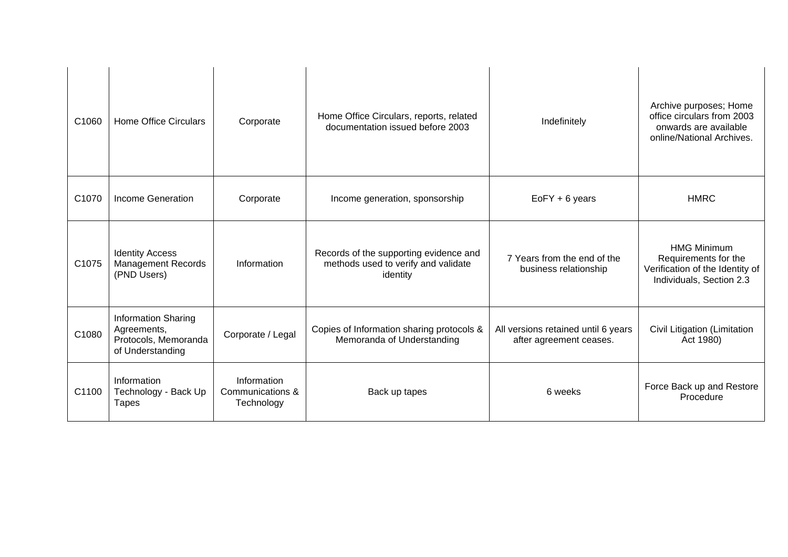| C1060 | <b>Home Office Circulars</b>                                                          | Corporate                                     | Home Office Circulars, reports, related<br>documentation issued before 2003               | Indefinitely                                                   | Archive purposes; Home<br>office circulars from 2003<br>onwards are available<br>online/National Archives. |
|-------|---------------------------------------------------------------------------------------|-----------------------------------------------|-------------------------------------------------------------------------------------------|----------------------------------------------------------------|------------------------------------------------------------------------------------------------------------|
| C1070 | <b>Income Generation</b>                                                              | Corporate                                     | Income generation, sponsorship                                                            | $EoFY + 6$ years                                               | <b>HMRC</b>                                                                                                |
| C1075 | <b>Identity Access</b><br><b>Management Records</b><br>(PND Users)                    | Information                                   | Records of the supporting evidence and<br>methods used to verify and validate<br>identity | 7 Years from the end of the<br>business relationship           | <b>HMG Minimum</b><br>Requirements for the<br>Verification of the Identity of<br>Individuals, Section 2.3  |
| C1080 | <b>Information Sharing</b><br>Agreements,<br>Protocols, Memoranda<br>of Understanding | Corporate / Legal                             | Copies of Information sharing protocols &<br>Memoranda of Understanding                   | All versions retained until 6 years<br>after agreement ceases. | Civil Litigation (Limitation<br>Act 1980)                                                                  |
| C1100 | Information<br>Technology - Back Up<br><b>Tapes</b>                                   | Information<br>Communications &<br>Technology | Back up tapes                                                                             | 6 weeks                                                        | Force Back up and Restore<br>Procedure                                                                     |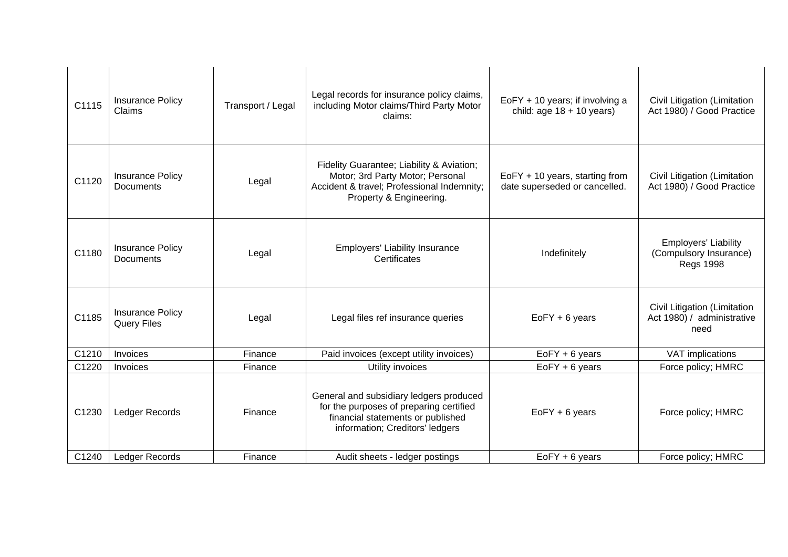| C1115 | Insurance Policy<br>Claims                    | Transport / Legal | Legal records for insurance policy claims,<br>including Motor claims/Third Party Motor<br>claims:                                                          | EoFY + 10 years; if involving a<br>child: age $18 + 10$ years)  | Civil Litigation (Limitation<br>Act 1980) / Good Practice                 |
|-------|-----------------------------------------------|-------------------|------------------------------------------------------------------------------------------------------------------------------------------------------------|-----------------------------------------------------------------|---------------------------------------------------------------------------|
| C1120 | <b>Insurance Policy</b><br><b>Documents</b>   | Legal             | Fidelity Guarantee; Liability & Aviation;<br>Motor; 3rd Party Motor; Personal<br>Accident & travel; Professional Indemnity;<br>Property & Engineering.     | EoFY + 10 years, starting from<br>date superseded or cancelled. | Civil Litigation (Limitation<br>Act 1980) / Good Practice                 |
| C1180 | <b>Insurance Policy</b><br>Documents          | Legal             | Employers' Liability Insurance<br>Certificates                                                                                                             | Indefinitely                                                    | <b>Employers' Liability</b><br>(Compulsory Insurance)<br><b>Regs 1998</b> |
| C1185 | <b>Insurance Policy</b><br><b>Query Files</b> | Legal             | Legal files ref insurance queries                                                                                                                          | $EoFY + 6$ years                                                | Civil Litigation (Limitation<br>Act 1980) / administrative<br>need        |
| C1210 | Invoices                                      | Finance           | Paid invoices (except utility invoices)                                                                                                                    | $EoFY + 6$ years                                                | VAT implications                                                          |
| C1220 | Invoices                                      | Finance           | Utility invoices                                                                                                                                           | $EoFY + 6$ years                                                | Force policy; HMRC                                                        |
| C1230 | Ledger Records                                | Finance           | General and subsidiary ledgers produced<br>for the purposes of preparing certified<br>financial statements or published<br>information; Creditors' ledgers | $EoFY + 6$ years                                                | Force policy; HMRC                                                        |
| C1240 | Ledger Records                                | Finance           | Audit sheets - ledger postings                                                                                                                             | $EoFY + 6$ years                                                | Force policy; HMRC                                                        |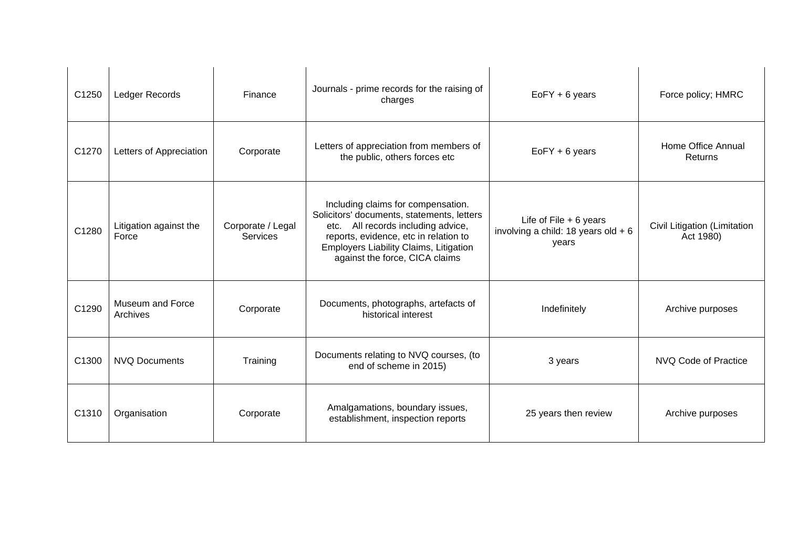| C1250 | Ledger Records                  | Finance                              | Journals - prime records for the raising of<br>charges                                                                                                                                                                                         | $EoFY + 6$ years                                                           | Force policy; HMRC                        |
|-------|---------------------------------|--------------------------------------|------------------------------------------------------------------------------------------------------------------------------------------------------------------------------------------------------------------------------------------------|----------------------------------------------------------------------------|-------------------------------------------|
| C1270 | Letters of Appreciation         | Corporate                            | Letters of appreciation from members of<br>the public, others forces etc                                                                                                                                                                       | $EoFY + 6$ years                                                           | Home Office Annual<br>Returns             |
| C1280 | Litigation against the<br>Force | Corporate / Legal<br><b>Services</b> | Including claims for compensation.<br>Solicitors' documents, statements, letters<br>All records including advice,<br>etc.<br>reports, evidence, etc in relation to<br>Employers Liability Claims, Litigation<br>against the force, CICA claims | Life of File $+ 6$ years<br>involving a child: 18 years old $+ 6$<br>years | Civil Litigation (Limitation<br>Act 1980) |
| C1290 | Museum and Force<br>Archives    | Corporate                            | Documents, photographs, artefacts of<br>historical interest                                                                                                                                                                                    | Indefinitely                                                               | Archive purposes                          |
| C1300 | <b>NVQ Documents</b>            | Training                             | Documents relating to NVQ courses, (to<br>end of scheme in 2015)                                                                                                                                                                               | 3 years                                                                    | NVQ Code of Practice                      |
| C1310 | Organisation                    | Corporate                            | Amalgamations, boundary issues,<br>establishment, inspection reports                                                                                                                                                                           | 25 years then review                                                       | Archive purposes                          |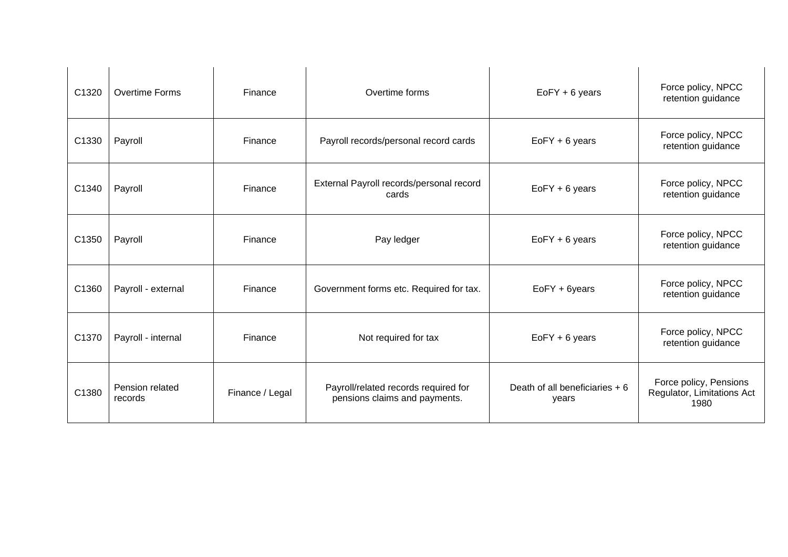| C <sub>1320</sub> | <b>Overtime Forms</b>      | Finance         | Overtime forms                                                        | EoFY + 6 years                          | Force policy, NPCC<br>retention guidance                     |
|-------------------|----------------------------|-----------------|-----------------------------------------------------------------------|-----------------------------------------|--------------------------------------------------------------|
| C1330             | Payroll                    | Finance         | Payroll records/personal record cards                                 | $EoFY + 6$ years                        | Force policy, NPCC<br>retention guidance                     |
| C1340             | Payroll                    | Finance         | External Payroll records/personal record<br>cards                     | $EoFY + 6$ years                        | Force policy, NPCC<br>retention guidance                     |
| C1350             | Payroll                    | Finance         | Pay ledger                                                            | $EoFY + 6$ years                        | Force policy, NPCC<br>retention guidance                     |
| C1360             | Payroll - external         | Finance         | Government forms etc. Required for tax.                               | EoFY + 6years                           | Force policy, NPCC<br>retention guidance                     |
| C1370             | Payroll - internal         | Finance         | Not required for tax                                                  | $EoFY + 6$ years                        | Force policy, NPCC<br>retention guidance                     |
| C1380             | Pension related<br>records | Finance / Legal | Payroll/related records required for<br>pensions claims and payments. | Death of all beneficiaries + 6<br>years | Force policy, Pensions<br>Regulator, Limitations Act<br>1980 |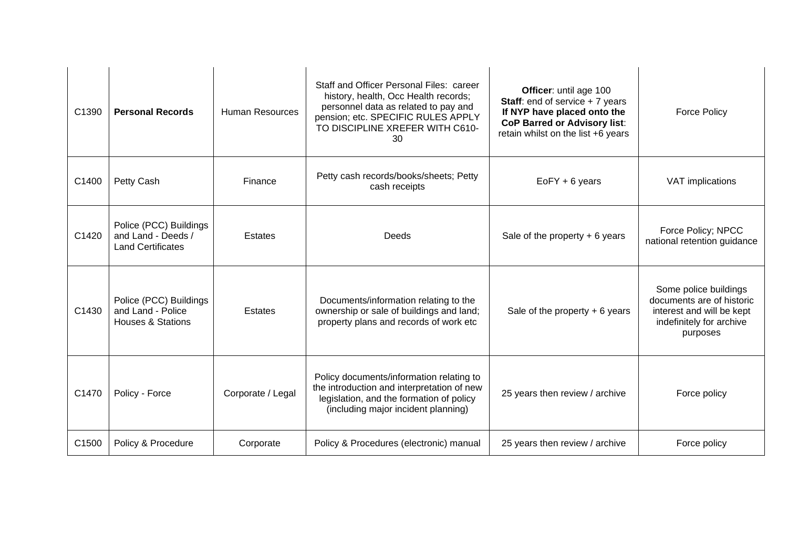| C1390 | <b>Personal Records</b>                                                     | <b>Human Resources</b> | Staff and Officer Personal Files: career<br>history, health, Occ Health records;<br>personnel data as related to pay and<br>pension; etc. SPECIFIC RULES APPLY<br>TO DISCIPLINE XREFER WITH C610-<br>30 | Officer: until age 100<br><b>Staff:</b> end of service $+7$ years<br>If NYP have placed onto the<br><b>CoP Barred or Advisory list:</b><br>retain whilst on the list +6 years | <b>Force Policy</b>                                                                                                     |
|-------|-----------------------------------------------------------------------------|------------------------|---------------------------------------------------------------------------------------------------------------------------------------------------------------------------------------------------------|-------------------------------------------------------------------------------------------------------------------------------------------------------------------------------|-------------------------------------------------------------------------------------------------------------------------|
| C1400 | Petty Cash                                                                  | Finance                | Petty cash records/books/sheets; Petty<br>cash receipts                                                                                                                                                 | $EoFY + 6$ years                                                                                                                                                              | VAT implications                                                                                                        |
| C1420 | Police (PCC) Buildings<br>and Land - Deeds /<br><b>Land Certificates</b>    | <b>Estates</b>         | Deeds                                                                                                                                                                                                   | Sale of the property $+ 6$ years                                                                                                                                              | Force Policy; NPCC<br>national retention guidance                                                                       |
| C1430 | Police (PCC) Buildings<br>and Land - Police<br><b>Houses &amp; Stations</b> | Estates                | Documents/information relating to the<br>ownership or sale of buildings and land;<br>property plans and records of work etc                                                                             | Sale of the property $+ 6$ years                                                                                                                                              | Some police buildings<br>documents are of historic<br>interest and will be kept<br>indefinitely for archive<br>purposes |
| C1470 | Policy - Force                                                              | Corporate / Legal      | Policy documents/information relating to<br>the introduction and interpretation of new<br>legislation, and the formation of policy<br>(including major incident planning)                               | 25 years then review / archive                                                                                                                                                | Force policy                                                                                                            |
| C1500 | Policy & Procedure                                                          | Corporate              | Policy & Procedures (electronic) manual                                                                                                                                                                 | 25 years then review / archive                                                                                                                                                | Force policy                                                                                                            |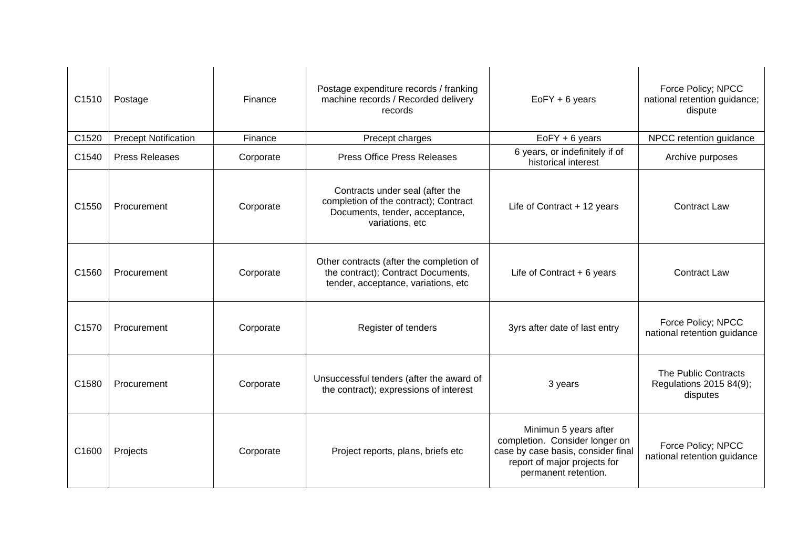| C1510 | Postage                     | Finance   | Postage expenditure records / franking<br>machine records / Recorded delivery<br>records                                      | $EoFY + 6$ years                                                                                                                                      |                                                             |
|-------|-----------------------------|-----------|-------------------------------------------------------------------------------------------------------------------------------|-------------------------------------------------------------------------------------------------------------------------------------------------------|-------------------------------------------------------------|
| C1520 | <b>Precept Notification</b> | Finance   | Precept charges                                                                                                               | $EoFY + 6$ years                                                                                                                                      | NPCC retention guidance                                     |
| C1540 | <b>Press Releases</b>       | Corporate | <b>Press Office Press Releases</b>                                                                                            | 6 years, or indefinitely if of<br>historical interest                                                                                                 | Archive purposes                                            |
| C1550 | Procurement                 | Corporate | Contracts under seal (after the<br>completion of the contract); Contract<br>Documents, tender, acceptance,<br>variations, etc | Life of Contract + 12 years                                                                                                                           | <b>Contract Law</b>                                         |
| C1560 | Procurement                 | Corporate | Other contracts (after the completion of<br>the contract); Contract Documents,<br>tender, acceptance, variations, etc         | Life of Contract $+ 6$ years                                                                                                                          | <b>Contract Law</b>                                         |
| C1570 | Procurement                 | Corporate | Register of tenders                                                                                                           | 3yrs after date of last entry                                                                                                                         | Force Policy; NPCC<br>national retention guidance           |
| C1580 | Procurement                 | Corporate | Unsuccessful tenders (after the award of<br>the contract); expressions of interest                                            | 3 years                                                                                                                                               | The Public Contracts<br>Regulations 2015 84(9);<br>disputes |
| C1600 | Projects                    | Corporate | Project reports, plans, briefs etc                                                                                            | Minimun 5 years after<br>completion. Consider longer on<br>case by case basis, consider final<br>report of major projects for<br>permanent retention. | Force Policy; NPCC<br>national retention guidance           |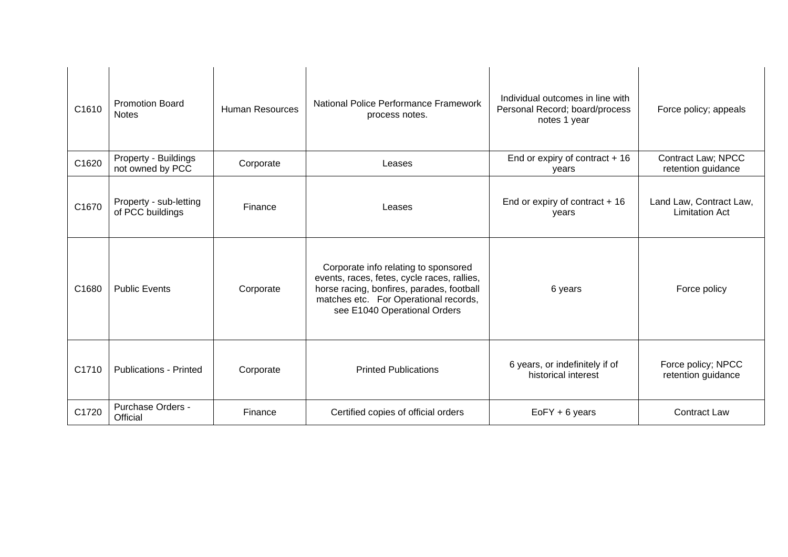| C <sub>1610</sub> | <b>Promotion Board</b><br><b>Notes</b>     | <b>Human Resources</b> | National Police Performance Framework<br>process notes.                                                                                                                                                   | Individual outcomes in line with<br>Personal Record; board/process<br>notes 1 year | Force policy; appeals                            |
|-------------------|--------------------------------------------|------------------------|-----------------------------------------------------------------------------------------------------------------------------------------------------------------------------------------------------------|------------------------------------------------------------------------------------|--------------------------------------------------|
| C1620             | Property - Buildings<br>not owned by PCC   | Corporate              | Leases                                                                                                                                                                                                    | End or expiry of contract $+16$<br>years                                           | Contract Law; NPCC<br>retention guidance         |
| C1670             | Property - sub-letting<br>of PCC buildings | Finance                | Leases                                                                                                                                                                                                    | End or expiry of contract $+16$<br>years                                           | Land Law, Contract Law,<br><b>Limitation Act</b> |
| C1680             | <b>Public Events</b>                       | Corporate              | Corporate info relating to sponsored<br>events, races, fetes, cycle races, rallies,<br>horse racing, bonfires, parades, football<br>matches etc. For Operational records,<br>see E1040 Operational Orders | 6 years                                                                            | Force policy                                     |
| C1710             | <b>Publications - Printed</b>              | Corporate              | <b>Printed Publications</b>                                                                                                                                                                               | 6 years, or indefinitely if of<br>historical interest                              | Force policy; NPCC<br>retention guidance         |
| C1720             | Purchase Orders -<br>Official              | Finance                | Certified copies of official orders                                                                                                                                                                       | $EoFY + 6$ years                                                                   | <b>Contract Law</b>                              |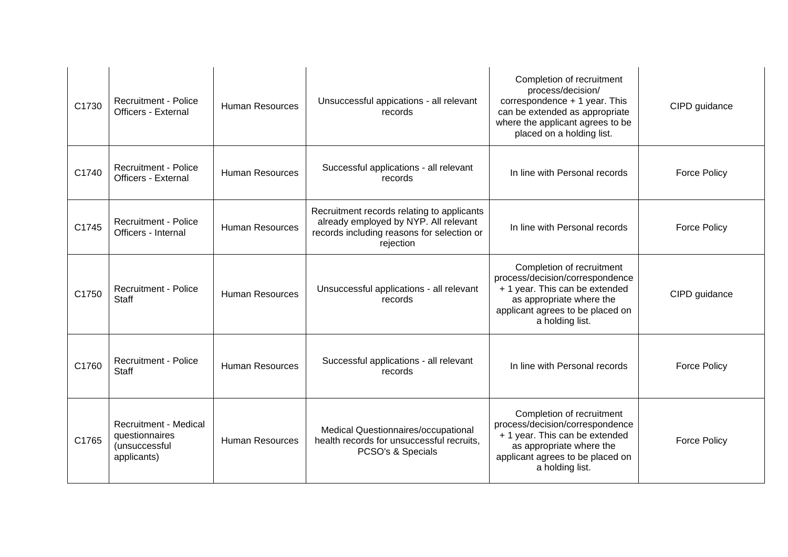| C1730 | <b>Recruitment - Police</b><br><b>Officers - External</b>                      | <b>Human Resources</b> | Unsuccessful appications - all relevant<br>records                                                                                             | Completion of recruitment<br>process/decision/<br>correspondence + 1 year. This<br>can be extended as appropriate<br>where the applicant agrees to be<br>placed on a holding list. | CIPD guidance       |
|-------|--------------------------------------------------------------------------------|------------------------|------------------------------------------------------------------------------------------------------------------------------------------------|------------------------------------------------------------------------------------------------------------------------------------------------------------------------------------|---------------------|
| C1740 | <b>Recruitment - Police</b><br><b>Officers - External</b>                      | <b>Human Resources</b> | Successful applications - all relevant<br>records                                                                                              | In line with Personal records                                                                                                                                                      | <b>Force Policy</b> |
| C1745 | <b>Recruitment - Police</b><br>Officers - Internal                             | <b>Human Resources</b> | Recruitment records relating to applicants<br>already employed by NYP. All relevant<br>records including reasons for selection or<br>rejection | In line with Personal records                                                                                                                                                      | <b>Force Policy</b> |
| C1750 | <b>Recruitment - Police</b><br>Staff                                           | <b>Human Resources</b> | Unsuccessful applications - all relevant<br>records                                                                                            | Completion of recruitment<br>process/decision/correspondence<br>+ 1 year. This can be extended<br>as appropriate where the<br>applicant agrees to be placed on<br>a holding list.  | CIPD guidance       |
| C1760 | <b>Recruitment - Police</b><br><b>Staff</b>                                    | <b>Human Resources</b> | Successful applications - all relevant<br>records                                                                                              | In line with Personal records                                                                                                                                                      | <b>Force Policy</b> |
| C1765 | <b>Recruitment - Medical</b><br>questionnaires<br>(unsuccessful<br>applicants) | <b>Human Resources</b> | Medical Questionnaires/occupational<br>health records for unsuccessful recruits.<br>PCSO's & Specials                                          | Completion of recruitment<br>process/decision/correspondence<br>+ 1 year. This can be extended<br>as appropriate where the<br>applicant agrees to be placed on<br>a holding list.  | <b>Force Policy</b> |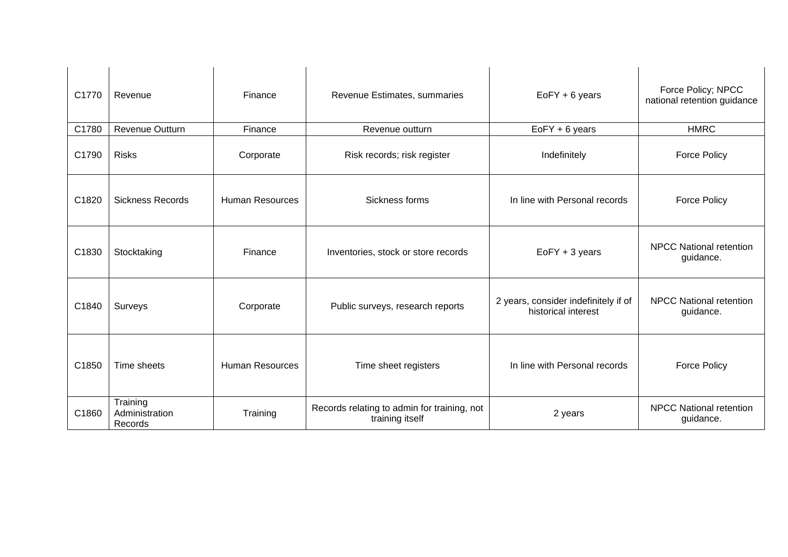| C1770 | Revenue                               | Finance                | Revenue Estimates, summaries                                   | EoFY + 6 years                                              | Force Policy; NPCC<br>national retention guidance |
|-------|---------------------------------------|------------------------|----------------------------------------------------------------|-------------------------------------------------------------|---------------------------------------------------|
| C1780 | Revenue Outturn                       | Finance                | Revenue outturn                                                | EoFY + 6 years                                              | <b>HMRC</b>                                       |
| C1790 | <b>Risks</b>                          | Corporate              | Risk records; risk register                                    | Indefinitely                                                | <b>Force Policy</b>                               |
| C1820 | <b>Sickness Records</b>               | <b>Human Resources</b> | Sickness forms                                                 | In line with Personal records                               | <b>Force Policy</b>                               |
| C1830 | Stocktaking                           | Finance                | Inventories, stock or store records                            | $EoFY + 3 years$                                            | <b>NPCC National retention</b><br>guidance.       |
| C1840 | Surveys                               | Corporate              | Public surveys, research reports                               | 2 years, consider indefinitely if of<br>historical interest | <b>NPCC National retention</b><br>guidance.       |
| C1850 | Time sheets                           | <b>Human Resources</b> | Time sheet registers                                           | In line with Personal records                               | <b>Force Policy</b>                               |
| C1860 | Training<br>Administration<br>Records | Training               | Records relating to admin for training, not<br>training itself | 2 years                                                     | <b>NPCC National retention</b><br>guidance.       |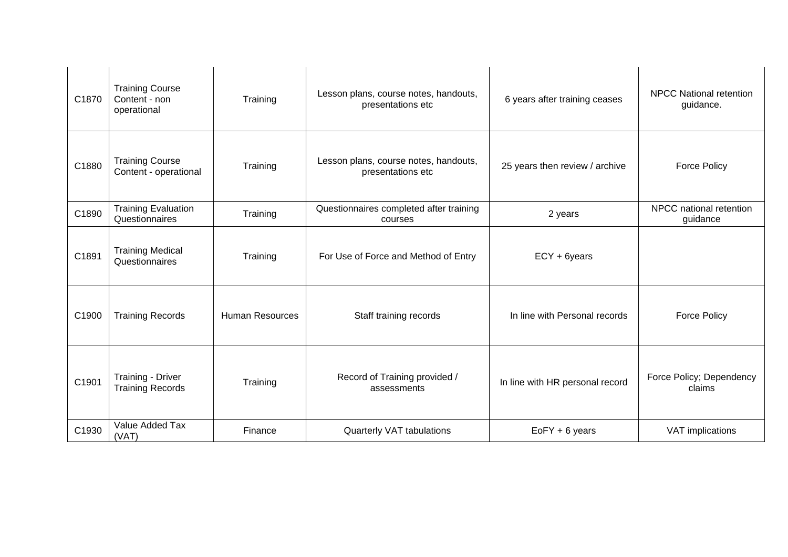| C1870 | <b>Training Course</b><br>Content - non<br>operational | Training               | Lesson plans, course notes, handouts,<br>presentations etc | 6 years after training ceases   | <b>NPCC National retention</b><br>guidance. |
|-------|--------------------------------------------------------|------------------------|------------------------------------------------------------|---------------------------------|---------------------------------------------|
| C1880 | <b>Training Course</b><br>Content - operational        | Training               | Lesson plans, course notes, handouts,<br>presentations etc | 25 years then review / archive  | <b>Force Policy</b>                         |
| C1890 | <b>Training Evaluation</b><br>Questionnaires           | Training               | Questionnaires completed after training<br>courses         | 2 years                         | NPCC national retention<br>guidance         |
| C1891 | <b>Training Medical</b><br>Questionnaires              | Training               | For Use of Force and Method of Entry                       | ECY + 6years                    |                                             |
| C1900 | <b>Training Records</b>                                | <b>Human Resources</b> | Staff training records                                     | In line with Personal records   | <b>Force Policy</b>                         |
| C1901 | Training - Driver<br><b>Training Records</b>           | Training               | Record of Training provided /<br>assessments               | In line with HR personal record | Force Policy; Dependency<br>claims          |
| C1930 | Value Added Tax<br>(VAT)                               | Finance                | Quarterly VAT tabulations                                  | $EoFY + 6$ years                | VAT implications                            |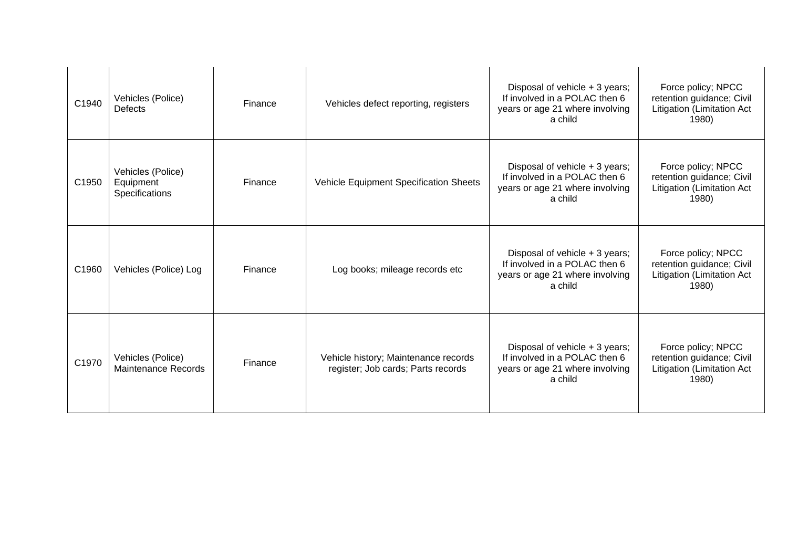| C1940 | Vehicles (Police)<br><b>Defects</b>              | Finance | Vehicles defect reporting, registers                                       | Disposal of vehicle + 3 years;<br>If involved in a POLAC then 6<br>years or age 21 where involving<br>a child                                                             | Force policy; NPCC<br>retention guidance; Civil<br>Litigation (Limitation Act<br>1980) |
|-------|--------------------------------------------------|---------|----------------------------------------------------------------------------|---------------------------------------------------------------------------------------------------------------------------------------------------------------------------|----------------------------------------------------------------------------------------|
| C1950 | Vehicles (Police)<br>Equipment<br>Specifications | Finance | Vehicle Equipment Specification Sheets                                     | Disposal of vehicle $+3$ years;<br>If involved in a POLAC then 6<br>retention guidance; Civil<br>years or age 21 where involving<br>Litigation (Limitation Act<br>a child |                                                                                        |
| C1960 | Vehicles (Police) Log                            | Finance | Log books; mileage records etc                                             | Disposal of vehicle + 3 years;<br>If involved in a POLAC then 6<br>years or age 21 where involving<br>a child                                                             | Force policy; NPCC<br>retention guidance; Civil<br>Litigation (Limitation Act<br>1980) |
| C1970 | Vehicles (Police)<br><b>Maintenance Records</b>  | Finance | Vehicle history; Maintenance records<br>register; Job cards; Parts records | Disposal of vehicle + 3 years;<br>If involved in a POLAC then 6<br>years or age 21 where involving<br>a child                                                             | Force policy; NPCC<br>retention guidance; Civil<br>Litigation (Limitation Act<br>1980) |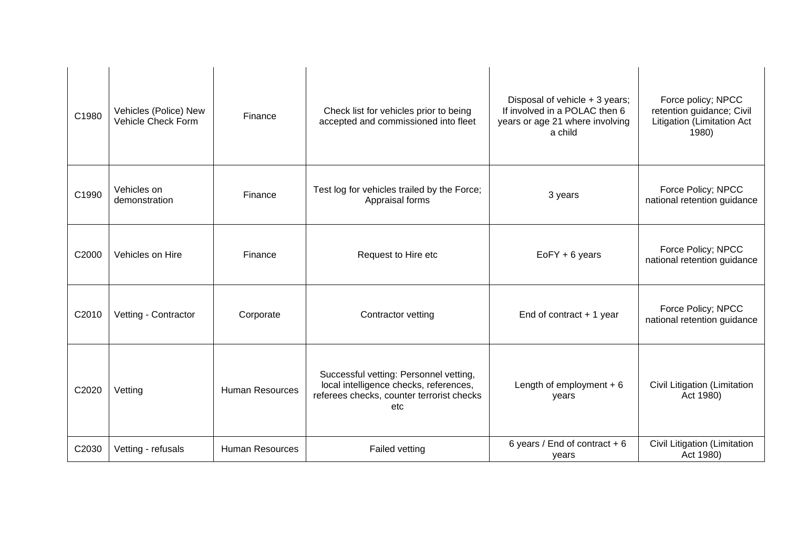| C1980 | Vehicles (Police) New<br>Vehicle Check Form | Finance                | Check list for vehicles prior to being<br>accepted and commissioned into fleet                                                       | Disposal of vehicle + 3 years;<br>If involved in a POLAC then 6<br>years or age 21 where involving<br>a child | Force policy; NPCC<br>retention guidance; Civil<br>Litigation (Limitation Act<br>1980) |
|-------|---------------------------------------------|------------------------|--------------------------------------------------------------------------------------------------------------------------------------|---------------------------------------------------------------------------------------------------------------|----------------------------------------------------------------------------------------|
| C1990 | Vehicles on<br>demonstration                | Finance                | Test log for vehicles trailed by the Force;<br>Appraisal forms                                                                       | 3 years                                                                                                       | Force Policy; NPCC<br>national retention guidance                                      |
| C2000 | Vehicles on Hire                            | Finance                | Request to Hire etc                                                                                                                  | EoFY + 6 years                                                                                                | Force Policy; NPCC<br>national retention guidance                                      |
| C2010 | Vetting - Contractor                        | Corporate              | Contractor vetting                                                                                                                   | End of contract $+1$ year                                                                                     | Force Policy; NPCC<br>national retention guidance                                      |
| C2020 | Vetting                                     | <b>Human Resources</b> | Successful vetting: Personnel vetting,<br>local intelligence checks, references,<br>referees checks, counter terrorist checks<br>etc | Length of employment $+6$<br>years                                                                            | Civil Litigation (Limitation<br>Act 1980)                                              |
| C2030 | Vetting - refusals                          | <b>Human Resources</b> | <b>Failed vetting</b>                                                                                                                | 6 years / End of contract $+6$<br>years                                                                       | Civil Litigation (Limitation<br>Act 1980)                                              |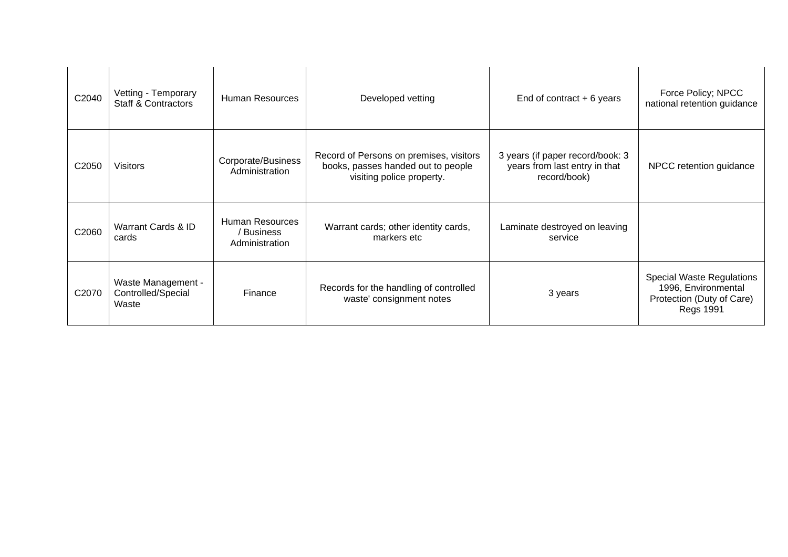| C2040             | Vetting - Temporary<br><b>Staff &amp; Contractors</b> | <b>Human Resources</b>                                 | Developed vetting                                                                                          | End of contract $+6$ years                                                        | Force Policy; NPCC<br>national retention guidance                                                 |
|-------------------|-------------------------------------------------------|--------------------------------------------------------|------------------------------------------------------------------------------------------------------------|-----------------------------------------------------------------------------------|---------------------------------------------------------------------------------------------------|
| C2050             | <b>Visitors</b>                                       | Corporate/Business<br>Administration                   | Record of Persons on premises, visitors<br>books, passes handed out to people<br>visiting police property. | 3 years (if paper record/book: 3<br>years from last entry in that<br>record/book) | NPCC retention guidance                                                                           |
| C2060             | Warrant Cards & ID<br>cards                           | <b>Human Resources</b><br>' Business<br>Administration | Warrant cards; other identity cards,<br>markers etc                                                        | Laminate destroyed on leaving<br>service                                          |                                                                                                   |
| C <sub>2070</sub> | Waste Management -<br>Controlled/Special<br>Waste     | Finance                                                | Records for the handling of controlled<br>waste' consignment notes                                         | 3 years                                                                           | Special Waste Regulations<br>1996, Environmental<br>Protection (Duty of Care)<br><b>Regs 1991</b> |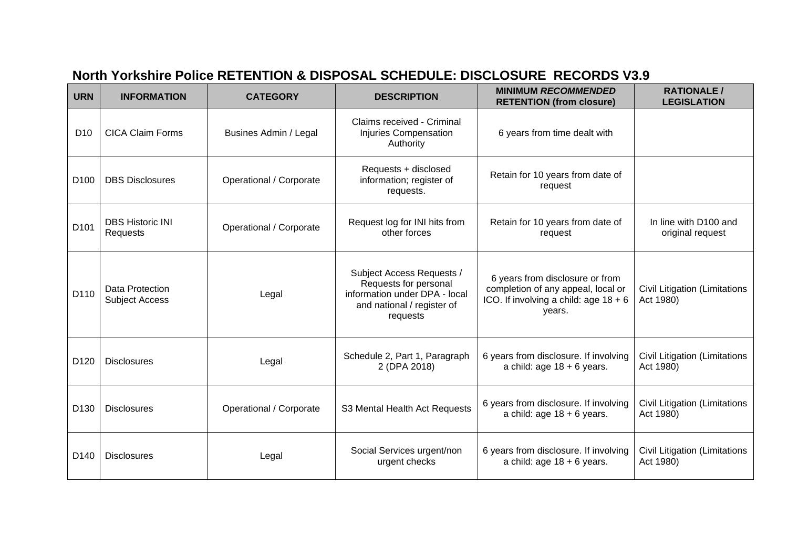# **North Yorkshire Police RETENTION & DISPOSAL SCHEDULE: DISCLOSURE RECORDS V3.9**

| <b>URN</b>       | <b>INFORMATION</b>                       | <b>CATEGORY</b>         | <b>DESCRIPTION</b>                                                                                                            | <b>MINIMUM RECOMMENDED</b><br><b>RETENTION (from closure)</b>                                                              | <b>RATIONALE /</b><br><b>LEGISLATION</b>          |
|------------------|------------------------------------------|-------------------------|-------------------------------------------------------------------------------------------------------------------------------|----------------------------------------------------------------------------------------------------------------------------|---------------------------------------------------|
| D <sub>10</sub>  | <b>CICA Claim Forms</b>                  | Busines Admin / Legal   | Claims received - Criminal<br>Injuries Compensation<br>Authority                                                              | 6 years from time dealt with                                                                                               |                                                   |
| D <sub>100</sub> | <b>DBS Disclosures</b>                   | Operational / Corporate | Requests + disclosed<br>information; register of<br>requests.                                                                 | Retain for 10 years from date of<br>request                                                                                |                                                   |
| D <sub>101</sub> | <b>DBS Historic INI</b><br>Requests      | Operational / Corporate | Request log for INI hits from<br>other forces                                                                                 | Retain for 10 years from date of<br>request                                                                                | In line with D100 and<br>original request         |
| D110             | Data Protection<br><b>Subject Access</b> | Legal                   | Subject Access Requests /<br>Requests for personal<br>information under DPA - local<br>and national / register of<br>requests | 6 years from disclosure or from<br>completion of any appeal, local or<br>ICO. If involving a child: age $18 + 6$<br>years. | <b>Civil Litigation (Limitations</b><br>Act 1980) |
| D <sub>120</sub> | <b>Disclosures</b>                       | Legal                   | Schedule 2, Part 1, Paragraph<br>2 (DPA 2018)                                                                                 | 6 years from disclosure. If involving<br>a child: age $18 + 6$ years.                                                      | Civil Litigation (Limitations<br>Act 1980)        |
| D <sub>130</sub> | <b>Disclosures</b>                       | Operational / Corporate | S3 Mental Health Act Requests                                                                                                 | 6 years from disclosure. If involving<br>a child: age $18 + 6$ years.                                                      | <b>Civil Litigation (Limitations</b><br>Act 1980) |
| D <sub>140</sub> | <b>Disclosures</b>                       | Legal                   | Social Services urgent/non<br>urgent checks                                                                                   | 6 years from disclosure. If involving<br>a child: age $18 + 6$ years.                                                      | Civil Litigation (Limitations<br>Act 1980)        |